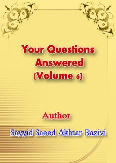# **Your Questions Answered** (Volume 6)

# Author

# Sayyid Saeed Akhtar Razivi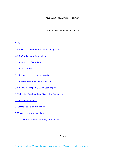Your Questions Answered (Volume 6)

Author : Sayyid Saeed Akhtar Razivi

**Preface** 

Q 1. How To Deal With Atheist and / Or Agnostic?

Q. 10: Why do you write D FOR ض?

Q. 20: Selection of an A 'lam

Q. 30: Love Letters

Q. 40: Jama 'at 's meeting in Husainiya

Q. 50: Taxes recognised in the Shari 'ah

Q. 60: How the Prophet (S.A. W) used to pray?

Q 70: Reciting Surah Without Bismillah in Sunnah Prayers

Q. 80: Changes In Adhan

Q 90: One Has Never Paid Khums

Q 90: One Has Never Paid Khums

Q. 110: In the ayat 102 of Sura 20 (TAHA), it says

Preface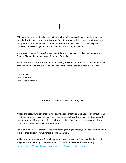| the contract of the contract of the contract of the con- |  |
|----------------------------------------------------------|--|
|                                                          |  |
|                                                          |  |
|                                                          |  |
|                                                          |  |
|                                                          |  |
|                                                          |  |
|                                                          |  |

With humility I offer my thanks to Allah Subhanahu wa Ta 'ala that He gave me the chance to compile this sixth volume of the series, Your Questions Answered. This book contains replies to 118 questions received between October 1990 and December, 1994, from The Philippines, Malaysia, Indonesia, Singapore, and Thailand; India, Pakistan, Iran, U.A.E.

and Muscat; Sweden, Norway, Germany and U.K.; U.S.A., Canada, Trinidad and Tobago and Guyana; Ghana, Nigeria, Botswana, Kenya and Tanzania.

As it happens many of the questions are on burning topics of the current social environment, and I hope this volume will prove more popular and useful than the previous ones in this series.

Dar es Salaam 15th March 1965 Syed Saeed Akhtar Rizvi

## Q1. How To Deal With Atheist and / Or Agnostic?

What is the best way to convince an atheist who claims that there is no God, or an agnostic who says that man's only recognition can be of the phenomenal world, and that man does not and cannot know anything about a spiritual existence, either of God or man or of any after‐death state? How can we convince him about Islam?

How would you reply to someone who after hearing the arguments says, "Nobody really knows if this is all true! Nobody knows if there is a life hereafter"?

Presented by http://www.alhassanain.com & http://www.islamicblessings.com A: The best and safest course for such people will be to believe in a Creator and in the Day of Judgement. The following tradition of Imam Ja'far Sadiq (A.S) shows the reason Why?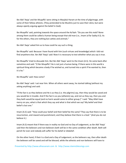Ibn Abil 'Awja' and Ibn Muqaffa' were sitting in Masjidul Haram at the time of pilgrimage, with some of their fellow atheists. (They pretended to be Muslims just to save their skins; but were always openly arguing against the belief in God).

Ibn Muqaffa' said, pointing towards the space around the Ka'bah: "Do you see this mob? None among them could be called a human being except that old man (i.e., Imam Ja'far Sadiq A.S). As for the others, they are nothing but catties and animals."

Ibn Abil 'Awja' asked him as to how could he say such a thing.

Ibn Muqaffa' said: Because I have found with him (such virtues and knowledge) which I did not find anywhere else. Ibn Abil 'Awja' said: Now it is necessary to test whether what you say is true.

Ibn Muqaffa' tried to dissuade him. But Ibn Abil 'Awja' went to the Imam (A.S). He came back after sometime and said: "O Ibn Muqaffa'! He is not just a human being. If there were in this world a spiritual thing which became a body if he wished so, and turned into a spirit if he wanted to, then it is he."

Ibn Muqaffa' said: How come?

Ibn Abil 'Awja' said: I sat near him. When all others went away, he started talking (without my asking anything) and said:

"If the fact is as they believe and He is as they (i.e. the pilgrims) say, then they would be saved and you would be in trouble. And if the fact is as you (atheists) say, and not as they say, then you and they both would be equal (and no harm would come to either group.)" I said: "May Allah have mercy on you, what is that which they say and what is that which we say? My belief and their belief is but one."

Imam (A.S) said: "How could your belief and their belief be the same? They say that there is to be resurrection, and reward and punishment; and they believe that there is a God." (And you do not believe it.)

Imam (A.S) meant that if there was in reality no God and no Day of Judgement, as Ibn Abil 'Awja' said then the believers and non‐believers both will be in the same condition after death. Both will perish for ever and nobody will suffer for his belief or disbelief.

On the other hand, if their Is a God and a Day of Judgement, as the believers say, then after death the believers will be saved and will be blessed, while the atheists and non‐believers will have to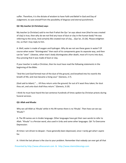suffer. Therefore, it is the dictate of wisdom to have Faith and Belief in God and Day of Judgement, to save oneself from the possibility of disgrace and eternal punishment.

# **Q2: My teacher (A Christian) says:**

My teacher (a Christian) said to me that if what the Qur 'an says about man (that he was created of clay) is true, then why do we not find any trace of dust or clay in the human body? He was referring to the verse, And certainly We created man of clay... (Qur'an, 15:26). Please enlighten me, so that I may reply to him.

A: Well, water is made of oxygen and hydrogen. Why do we not see these gases in water? Of course when water "disintegrates" then each of its components goes its separate way, and then can be "seen". Likewise, when man's body disintegrates after death, most of it turns into dust, thus proving that it was made of dust or clay.

If your teacher is really a Christian, then he must have read the following statements in the beginning of the Bible:

"And the Lord God formed man of the dust of the ground, and breathed into his nostrils the breath of life; and man became a living soul." (Genesis, 2:7).

(God said to Adam) ".... till thou return unto the ground; for out of it wast thou taken; for dust thou art, and unto dust shall thou return." (Genesis, 3:19)

I think he must have heard the last sentence hundreds of times spoken by Christian priests during funeral services.

## **Q3: Allah and Khuda:**

Why we call Allah as 'Khuda' while in His 99 names there is no 'Khuda'. Then how can we say 'Khuda'?

A: The 99 names are in Arabic language. Other languages have got their own words to refer to Allah. "Khuda" is a Persian word, also used in Urdu and some other languages. Q4: To Overcome Depression:

At times I am driven to despair. I have generally been depressed, since I rarely get what I aspire for.

A: I think the last phrase is the clue to your problem. Remember that nobody can ever get all that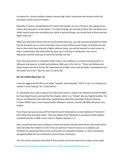he aspires for. Human ambition always remains high. Man's aspirations are limitless while the provisions of this world are limited.

Naturally it results in dissatisfaction for most of the people. Its cure is found in the sayings of our Imams who have given us this advice: "In material things, do not look at those who are above you; rather look at those who are below you; while in spiritual things, you should look at those who are higher than you."

When you will look at those who are less fortunate than you, you will sincerely be grateful to Allah that He has given you so much more than many of your fellow human beings. And when you will look at those who have attained a higher spiritual status, you will be inspired to reach nearer to them. Contentment with what Allah has given you is the key to satisfaction, the cure of depression and the only way to overcome worldly worries.

Then next step will be to remember Allah Ta'ala in all conditions. In comfort and discomfort, in affluence and poverty, in health and sickness. Allah says in the Qur'an: "Those who believe and whose hearts are set at rest by the remembrance of Allah; now surely by Allah's remembrance are the hearts set at rest." (Qur'an, Sura 13, Verse 28).

#### **Q5: Shi'a Belief About Qur 'an:**

A person suggested that Shi'as are doing "Taqiyah" when denying "Tahrif" in Qur 'an. Perhaps you wouldn t mind "leaking" the "inside‐secret".

A: I will advise you to get a copy of my Urdu book, Itmam‐e‐Hujjat, from Maulana Ahmad Ali Abidi (or from Najafi House) and read the first chapter which is on Tahreef. Also my English booklet, The Qur'an: Its Protection from Alteration, (published by Ahlul Bayt Assembly of North America, P.O.Box 76568, Super Centre Postal Outlet, Markham, Ontario, Canada L3R ON5) will prove very helpful.

From these two sources you will find that the Sunnis themselves narrate traditions of Tahreef in their Sihah Sitta and other books. They also believe that "Whatever is narrated in Sahih Bukhari and Sahih Muslim is 100% correct and it is Wajib to believe in it."

Also, you will see that many traditions in these two books mention some verses and surahs which were lost after the Prophet (S.A.W). Then you will learn that the Sunnis try to explain such traditions by saying that those verses and Surahs are mansukhut‐tilawah, i.e. their reciting was abrogated (while the law contained in some of them continues.)

The very serious question arises that if those Surahs and verses were lost or eaten up by a goat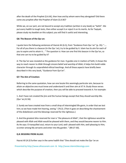after the death of the Prophet (S.A.W), then how and by whom were they abrogated? Did there come any prophet after the Prophet of Islam (S.A.W)?

While we, on our part, are not bound to accept any tradition (written in any book) as "Sahih". We put every hadith to tough tests, then either accept it or reject it on its merits. As for Taqiyah, please study my booklet on this subject; you will find it useful and interesting.

# **Q6: The Beacon of the Qur an:**

I quote here the following sentences of Hazrat Ali (A.S), from "Guidance from Qur 'an" (p. 35): ".... For all of you there is a beacon (in the Qur 'an), try to be guided by it. Islam has its aim for each of you to aspire and to attain it... " The question is: How can one find this beacon in the Qur'an, so that one can try to be guided by it?

A: The Qur'an was revealed as the guidance for man. It guides one in matters of faith; it shows the way to reach nearer to Allah through sincere belief and worship of Allah; it helps him build noble character through its unparalleled ethical teachings. And all these aspects have briefly been described in this very book, "Guidance from Qur'an".

# **Q7: The Aim of Creation:**

Referring to the same quotation, how can one locate this seemingly particular aim, because to attain an objective one must know and understand it and then aim at it? A: Study those verses which describe the purpose of creation, then you will be able to proceed towards it. For example:

1. And I have not created the jinn and the human beings except that they should worship Me. (Qur 'an,51:56)

2. Surely we have created man from a small drop of intermingled life‐germ, in order that we test him; so we have made him hearing, seeing." (76:2). (Then it goes on describing the chastisement of the disbelievers and the blessings reserved for the righteous.)

3. And the greatest bliss reserved for man is "the pleasure of Allah", that the righteous would be pleased with Allah and Allah would be pleased with them, and they would become nearer to Him. As He says: O tranquilled soul, return to your Lord, well‐ pleased with Him, well‐pleasing to Him; so enter among My servants and enter into My garden. " (89:27‐30).

## **Q.8: BEGGING FROM ALLAH:**

Hazrat Ali (A.S) further says in the same hadith that "One should not make the Qur 'an an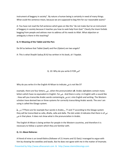instrument of beggary in society". By nature a human being is certainly in need of many things. What could the sentence mean, because we are supposed to beg Him for our reasonable wants?

A: You have not read the full sentence which goes on like this "do not make Qur'an an instrument of beggary in society because it teaches you how to seek help from God." Clearly the Imam forbids begging from people and advises man to address all his needs to Allah. What objection or ambiguity is there in this teaching?

# **Q. 9: Meaning of the Tablet and the Pen:**

Do Shi'as believe that Tablet (lawh) and Pen (Qalam) are two angels?

A: This is what Shaykh Saduq (R.A) has written in his book, al‐I 'tiqadat.

Q. 10: Why do you write D FOR ض?

Why do you write d in the English Al‐Mizan to indicate ض is not like D?

example, there are four letters, ض, when the pronunciation of A: Arabic alphabets contain many letters which have no equivalent in English. For ض . And there is only z in English with a sound like . How will you transcribe Arabic words containing ذ or ض ,ظ sinto English and writing. The Western scholars have devised two or three systems for correctly transcribing Arabic words. The one I am using is called the Glasgo system.

ظ, ز,ذ?? There are for example four words in Arabic,,, ?? and ?? according to the Glasgo system they will be transcribed as zalla, dhalla, zalla and dalla. The dot under d indicates that there is of ض ض in that place. It does not show what is the pronunciaƟon in Arabic.

The English Al‐Mizan is being written for people in the Western countries, and therefore it is necessary to follow a system which they are familiar with.

## **Q. 11: About Bohoras:**

A friend of mine is an IsmailI Bohra (follower of 21 Imams and 52 Dais).I managed to argue with him by showing the weeklies and books. But he does not agree with me in the matter of lmamate.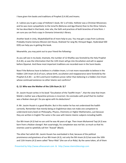I have given him books and traditions of Prophet (S.A.W) and Imams.

A: I advise you to get a copy of Hollister's book, Shi 'a of India. Hollister was a Christian Missionary and he was more sympathetic to the Ismai'lis (Bohoras and Aga Khanis) than to the Ithna‐'Asharis. He has described in that book, inter alia, the faith and practices of both branches of Isma'ilism. I am sure you can find a copy in Osmania University's library.

Another book in Urdu, Mujtahid)will be of more help to you. You may get a copy from Lucknow. Probably Imame Zamana Mission (Jet House, Shaheed Yar Jang Rd, Himayat Nagar, Hyderabad 500 029) can help you in getting this book.

Meanwhile, you may point out to your friend the following:‐

As you will see in my book, Imamate, the number of 12 Khalifas was foretold by the Holy Prophet (S.A.W), as was the information that the 12th Imam will go into Occultation and will re‐appear before Qiyamat. And these most important traditions are recorded even in the Sunni books.

Now if the Bohoras have to believe in a hidden Imam, is it not more reasonable to believe in the hidden 12th Imam (A.S) of ours, whose birth, occultation and reappearance were foretold by the Prophet (S.A.W) ‐‐ as Shi'a and Sunni traditions prove rather than believing in a hidden 21st Imam whose continued existence no other Islamic sect confirms?

# **Q. 12: Who was the Mother of the 12th Ikum (A. S) ?**

Dr. Jassim Husain writes in his book "Occultation of the Twelfth Imam ", that the view that Imam Mahdi s mother was a Byzantine princess is incorrect. He concludes with proof that his mother was a Nubian slave girl. Do you agree with his deductions?

A: Mr. Jassim Husain is a good Muslim. But in this matter he has not understood the hadith correctly. Remember that merely being an Englishman does not make one competent to understand every book on Philosophy, Physics, Chemistry or Higher Mathematics, just because they are written in English The same is the case with Islamic Islamic subjects including hadith.

Our 8th Imam (A.S) had no son until he was 46 years of age. Then Imam Muhammd Taqi (A.S) was born from a Nubian slavegirl. Not surprisingly, his complexion was not fair; so much so that his enemies used to spitefully call him "Aswad" (Black).

The other fact which Mr. Jassim Husain has overlooked is that, because of the political prominence and greatness of our 8th Imam (A.S), not only the 9th Imam (A.S) but even the 10th and 11th Imams (A.S) were called "Ibnur‐Rida" (the son of ar‐Rida). By the same token, all of them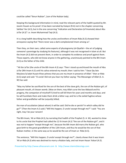could be called "Ibnun Nubian", (son of the Nubian lady).

Keeping this background information in mind, read the relevant parts of the hadith quoted by Mr. Jassim Husain as his proof. It has been narrated by Kulayni (R.A) not in the chapter concerning Sahibul 'Asr (A.S), but in the one concerning "Indication and Declaration (of Imamate) about Abu Ja'far (A.S)" i.e. Imam Muhammad Taqi (A.S).

It is a long hadith describing how the uncles and brothers of Imam Rida (A.S) showed their annoyance saying that "there never was a dark‐complexioned Imam among us".

Then they, on their own, called some experts of physiognomy (al‐Qiyafah = the art of judging someone's parentage by studying his features), although it was not recognised in Islam at all. But the Imam (A.S) did not prevent them, in order to complete his evidence and proof against them. Those experts, who did not know anyone in the gathering, unanimously pointed to the 8th Imam (A.S) as the father of the child.

'"Ali ibn Ja'far (the uncle of the 8th Imam A.S) says: 'Then I stood up and kissed the mouth of Abu Ja'far (9th Imam A.S) until his saliva entered my mouth; then I said to him: "I bear (by late Maulana Sa'adat Husain Khan,witness that you are my Imam in presence of Allah." then ar‐Rida (A.S) wept and said: "O uncle! Did not you hear my father saying: 'The Messenger of Allah (S. A. W) has said:

"May my father be sacrificed for the son of the best of the slave girls, the son of the Nubian girl, of pleasant mouth, of chosen womb. (Woe on them, may Allah curse the low Abbasid and his progeny, the companion of mischief!!!) And he will kill them for years and months and days; and he will humiliate them and make them drink a bitter cup; and he is the exiled fugitive whose father and grandfather will be (unjustly) killed;

the man of occultation (about whom) it will be said: Did he die or perish? In which valley did he go?'" (Then the Imam A.S said:) "Will this happen, O uncle! except through me?" I said: "You are right, may I be your ransom!

The 8th Imam, 'Ali ar-Rida (A.S), by narrating that hadith of the Prophet (S. A. W), wanted to show to his uncle that the Prophet had called the 12 th Imam (A.S) "the son of the Nubian girl", and it was not to happen "except through me", because the 8th Imam did marry the Nubian girl, who gave birth to the great‐grandfather of the 12th Imam, and thus he would be the son of that Nubian mother, in the same way as he would be the son of Imam ar‐ Rida (A.S).

The sentence, "Will this happen, O uncle! except through me?", clearly shows that it was Imam 'Ali ar‐Rida (A.S) who was destined to marry a Nubian lady, and not Imam Hasan 'Askari (A.S).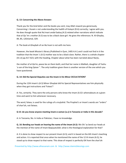# **Q. 13: Concerning the Above Answer:**

Thank you for the kind letter and the books you sent; may Allah reward you generously. Concerning J. Husain s not understanding the hadith of Kulayni (R.A) correctly, I agree with you. He does though quote that Nu'mani andal‐Saduq (A.S) related other narrations which indicate that al‐Qa 'im s mother (A.S) was to be a black slave‐girl. He gives the references: N. Al‐Ghayba, 84, 85, 120;Kamal, 329.

A: The book al‐Ghaybah of an‐Nu'mani is not with me here.

However, the book Mission's library (Published in Qum, 1405 A.H.) and I could not find in it the tradition that the Imam 's (A.S) mother was to be a black slave. Rather, there is a whole chapter (41 st) pp.417‐423; with the heading, Chapter about what has been narrated about Narjis,

the mother of al‐Qa'im, peace be on them both; and that her name is Malikah, daughter of Yashu 'a son of the king Qaiser ". The only tradition given there is another version of the one which you have questioned.

# **Q. 14: Did the Special Deputies see the Imam in his Minor OCCULTATION?**

During the 12th Imam's (A.S) Minor Ghaybat did his Special Representatives see him physically when they got instructions and 'Fatwa'?

A: Yes, certainly. They were the only persons who knew the Imam (A.S)'s whereabouts at a given time and went to him whenever necessary.

The word, fatwa, is used for the rulings of a mujtahid. The Prophet's or Imam's words are "orders" of shari'ah, not fatwas.

## Q 15: do you know anyone meeting imam-e-zaman (a.s) in Tanzania or India in this decade?

A: In Tanzania, No. In India or Pakistan, I have no knowledge.

**Q. 16: Bending our heads on hearing the name of the Imam (A.S):** We Shi 'as bend our heads at the mention of the name of Imam Baqiyyatullah; what is the theological explanation for that?

A: It is done to show respect to our present Imam (A.S); and it is based on the 6th Imam's teaching and action. It is reported that once when he mentioned the name of the 12 th Imam (A.S), he stood up to show respect to that name. This show of respect is perfectly OK from the shari'ah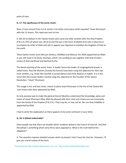point of view.

#### **Q. 17: The significance of the word, Imam:**

Note: A new convert from U.S.A. wrote in his letter some paras which equated "Imam Khumayni" with the 12 Imams. This reply was sent to him:

A: We Shi'as believe in the Twelve Imams who came one after another after the Holy Prophet (P.B.U.H.) first of whom was 'Ali (A.S) and the last is the Imam al‐Mahdi (A.S) who is alive but in occultation by order of Allah and will re‐appear near Qiyamat to establish the kingdom of God on the earth.

These twelve Imams were Ma'sum (Sinless, Infallible) and Mansus min Allah (appointed by Allah) as you will read in my book, Imamate, which I am sending to you together with God of Islam, Justice of God and Ritual and Spiritual Purity.

The literal meaning of the word, Imam, is leader hence the leader of congregational prayer is called Imam. Also the Muslims (mostly the Sunnis) have been using this adjective for their topmost scholars, e.g. Imam Abu Hanifah in jurisprudence and Imam Bukhari in hadith. It is in this sense that the Iranian leaders started using this adjective for the Founder of the Islamic Revolution, "Imam" Khumayni.

This usage is not, and was never, meant to place Imam Khumayni in the line of the Twelve Ma 'sum Imams who were appointed by Allah.

Its only purpose was to make the general (Sunni) Muslims understand the knowledge, piety and status of Imam Khumayni (May Allah be pleased with him). And such Imams are not necessarily from the family of the Prophet (P.B.U.H.). They may be, or may not be. Nor are they Infallible or appointed by Allah.

I had to write this explanation as there appears to be some confusion in your letter.

## **Q. 18: Is Ijtihad undesirable?**

Some people say that there are ahadith which condemn ijtihad in the masa'il of shari'ah. And that the ijtihad is something which early Shi'as were opposed to. What is the truth behind this allegation?

A: This question requires detailed answer which at present I don't have the time for. However, I'll give you a brief outline of the facts.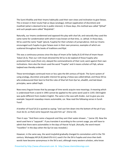The Sunni Khalifas and their Imams habitually used their own views and inclination to give fatwas. This is known in their Usulul Fiqh as Qiyas (analogy), Istihsan (application of discretion) and maslihah (what is deemed to be in public interest). In those days, this method was called "Ijtihad" and such people were called "Mujtahids".

Naturally, our Imams condemned and opposed this play with shari'ah; and naturally they used the same name for condemnation with which it was known at that time, i.e. ijtihad. In those days, Shi'as used the name 'Faqih' (plural, Fuqaha) for their scholars of jurisprudence. And our Imams encouraged such Fuqaha to give Fatwas even in their own presence, examples of which are scattered throughout the books of traditions and Rijal.

This was a continuous process since the days of Imam Ja'far Sadiq (A.S) till that of Imam Hasan 'Askari (A.S), Then our 11th Imam directed the Shi'as to do taqleed of those Fuqaha who protected their souls (from sin), obeyed the commandments of their Lord, went against their own inclinations. Here also the Imam used the word "Fuqaha" and it means scholars of Fiqh, whose taqleed was thereby ordered.

These terminologies continued more or less upto the 6th century of hijrah. The Sunni system of using analogy, discretion and public interest for giving a Fatwa was called Ijtihad, and those Shi'as who endeavoured their best to find the rules of Shari'ah from Qur'an, ahadith, and laid down principles, were called Faqih.

Now every linguist knows that by passage of time words acquire new meanings. A meaning which is understood from a word in 1993 cannot be applied to the same word used in 1193. Old English was quite different from modern English. The same is the case with Arabic. Just to give you one example: Sayyarah nowadays means automobile, car. Now read the following verses in Surah Yusuf:

A brother of Yusuf (A.S) is quoted as saying: "and cast him down into the bottom of the pit if you must do (it, so that) some Sayyarah may pick him up". (Verse 10).

Then it says: "And there came a Sayyarah and they sent their water‐drawer..." (verse 19). Now the word used here is "sayyarah". If you translate it according to the current usage, you will have to admit that there were automobiles in the days of Hazrat Ya'qub. (Actually, the word meant "travellers" in the days when the Qur'an was revealed.)

However, in the same way, the word mujtahid gradually changed its connotation until in the 7th century. Muhaqqiq Hill (A.R) (died 676 A.H.) used it for the Shi'a Fuqaha and since then both words have become synonymous in the Shi'a sect; although many western scholars, who know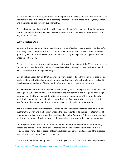only the Sunni interpretation, translate it as "independent reasoning" but this interpretation is not applicable to the Shi'a ijtihad which is not independent; it is always based on the Qur'an, Sunnah and the principles laid down by our Imams (A.S).

Those who try to use those traditions which condemn ijtihad (of the old meaning), for opposing the Shi'a Ijtihad (of the new meaning), should also declare that there were automobiles in the days of Hazrat Ya'qub!

# **Q. 19: Is Taqleed Wajib?**

Recently a dispute had arisen here regarding the matter of Taqleed. A group rejects Taqleed‐after producing a few traditions form Wasa 'il ush Shi'a (vol. xviii) Kitabul Qada which are commonly quoted by most authors and scholars to show the necessity and legibility of Taqleed, from the ahadith point of view.

This group declares that these ahadith do not conform with the fatwas of the Maraji' who say that Taqleed is Wajib and the A'mal without Taqleed are all void. I beg to know a hadith (or ahadith) which clearly states that Taqleed is Wajib.

One thing I cannot understand that many people have produced ahadith which state that Taqleed has to be done but which do not precisely state that Taqleed is Wajib. I would be very obliged if the above‐mentioned type of hadith (with reference) is sent to me for my reference.

A: No body says that Taqleed is the only choice. One may act according to Ihtiyat, if one does not like Taqleed. But acting on Ihtiyat is more difficult and cumbersome, and it requires a thorough knowledge of the Quran and hadith, which is not easy for every layman. Therefore, the only feasible alternative for a non‐Mujtahid is to do Taqleed of an expert who can derive rules of Shari'ah from the Qur'an, hadith and other principles laid down by our Imams (A.S).

And if those friends of yours insist that they can find all the rules themselves, then let them find out from the Qur'an and the books of ahadith the rules regarding life‐insurance, letter of credit, requirements of fasting and prayer for people residing in the Arctic and Antarctic zones, test tube babies, and hundreds of such modern problems which the past generations had not dreamt of.

I assure you that the ahadith of the Prophet and the Imams, found in our books of traditions, contain the principles from which our Mujtahids derive their rulings on such matters. But it requires deep knowledge of dozens of Islamic subjects, God‐gifted intelligence and the expertise to reach at the conclusion from these sources.

The Imams had told their companions: "On us is to give you roots, for you is to develop branches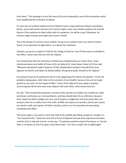from them." This wording is of our 6th Imam (A.S) and incidentally is one of the authorities which have established the institution of Ijtihad.

If a man has not studied medicine and on falling ill starts using medicines without consulting a doctor, every well‐wisher will warn him that he might create more health problems for himself. May be if the medicine he takes tallies with his symptoms, he will be cured. Otherwise, his sickness might increase and might even result in death.

This is the dictate of common sense indeed. You go to an architect when you want to build a house, to an advocate for legal advice, to a doctor for treatment.

Likewise, you go to an expert in Fiqh for the rulings of shari'ah. Even if there were no ahadith to this effect, reason says that we must do Taqleed.

You should know that the institution of Ijtihad was established by our Imams (A.S). I have mentioned above one hadith of Imam Ja'far as‐Sadiq (A.S). Imam Hasan 'Askari (A.S) has said: "Whoever among the Fuqaha' (Experts of Fiqh; Mujtahideen) protects himself (from sins), opposes his desires and obeys his Mawla (Allah), the general public should do his Taqleed."

Our present Imam (A.S) ordered his Shi'as in the beginning of his Minor Occultation: "As for the problems taking place, refer them to the narrators of our ahadith, because they are my hujjat (proof) on you and I am the Hujjat of Allah." Imam Ja'far Sadiq (A.S) was asked a question concerning two Shi'as who have some dispute with each other, what should they do?

He said: "They should find among you someone who narrates our hadith, has studied our Halal and Haram and knows our commandments, and they should take him as arbitrator, because I have made him Hakim (Judge) over you; and if he gives a judgement and (one party) does not accept it, then he in reality scorns the order of Allah and rejects our (words); and he who rejects our words is kafir and rejecter of Allah's (words); and he is on the boundary of associating something with Allah."

The word, wajib, is not used in more than half of the ahadith describing a wajib act. Usually it is, "You should do this." Study the verse l55 of Surah al‐Baqarah and see what expression has been used for Sa'yi in Hajj and 'Umrah. It only says: "So whoever performs Hajj of the House, or 'Umrah, there is no blame on him if he goes round them both." Isn't Sa'yi a wajib rukn of pilgrimage?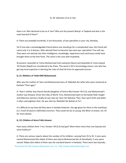# Q. 20: Selection of an A 'lam

How is an 'Alim declared to be an A 'lam? Who are the present Maraji ‐e‐Taqleed and who is the most learned of them?

A: There are probably hundreds, if not thousands, of eye specialists in your city, Bombay.

Yet if one asks a knowledgeable friend where one should go for a complicated case, the friend will name only 3 or 4 doctors. Who elected them to become top-most eye-specialists? You will say: They were not elected; but their intelligence, knowledge, experience and continuous study have brought them to the fore‐front. The same is the case with mujtahids.

At present, Ayatullah al‐'Uzma Muhammad Fazil Lankarani (Qum) and Ayatullah al‐'Uzma Sayyid 'Ali Sistani (Najaf) are considered to be A'lam. This word in Shi'a terminology means, one who has got top‐most expertise in deriving the rules of shari'ah from its approved sources.

# **Q. 21: Mothers of 'AwN AND Muhammad:**

Who was the mother of 'Awn and Muhammad (sons of 'Abdullah ibn Jafar) who were martyred at Karbala? Their ages?

A: 'Awn's mother was Hazrat Zainab (daughter of Amirul Mu'mineen 'Ali A.S); and Muhammad's mother was Khawsa' (from the tribe of Wa'il). First, Muhammad went to the battle‐field, fought and killed ten warriors; finally he was slain by 'Amir ibn Nahshal. Then 'Awn went forth and killed 3 riders and eighteen foot. He was slain by 'Abdullah Ibn Battah at‐Ta'i.

It is difficult to say how old they were in Karbala However, the age given for them in the marthiyas (i.e. 9 and 10 years) is definitely incorrect. They could not be so young. See Bihar‐ul‐anwar, vol. 45 for more details.

# **Q. 22: Children of Amru'l‐Mu'mineen:**

How many children Amir 'l‐mu 'mineen 'Ali (A.S) had got? Were there more than one Zaynab and Umm Kulthum?

A: There are various reports about the number of his children, varying from 25 to 35. 3 sons were named Muhammad (the eldest of them was Hazrat Muhammad Ibn al‐Hanafiyah); 2 sons were named 'Abbas (the eldest of them was the standard‐bearer in Karbala). There were two Zaynabs,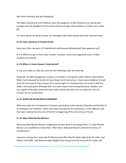two Umm Kulthums and two Ruqayyahs.

The eldest Zaynab and Umm Kulthum were the daughters of Bibi Fatimah (A.S); Zaynab (the younger) was the daughter of Umm Sa'id, and the younger Umm Kulthum's mother was a slave‐ girl.

For more details see Biharul anwar vol. Manaqib of Ibn Shahr Ashob and other relevant books.

# **Q. 23: False claimants of Prophet hood:**

How many false claimants of Prophethood and Imamate (Mahdaviyat) have appeared yet?

A: It is difficult to get at their exact number. However, there have appeared scores of false prophets and Mahdis.

# **Q. 24: Where is Imam Husayn's head buried?**

A: Got your cable on 18th July, and sent the following reply the same day.

Hassanali, SG IMGI Georgetown, Guyana, In Karbala in same grave, Letter follows Saeed Akhtar. When Yazid released the family of Imam Husain (A.S) from prison, Imam Zaynul Abidin (A.S) took from him the head of Imam Husayn (A.S) and brought it to Karbala where he buried it with the body in the same grave Although there are some reports mentioning Damascus, Medina, and even Egypt as the place where the holy head is buried, but they are not authentic, and our scholars do not accept them.

## **Q. 25: WHEN DID ISLAM REACH ZANZIBAR?**

When was Islam first introduced to Tanzania -particularly to the Islands of Zanzibar and Pemba? A: According to oral traditions, which have been recorded by the westerners, it may safely be said that Islam reached here by end of the first or beginning of the 2nd century of hijrah.

# **Q. 26: About Bilal Muslim Mission:**

When was Bilal Muslim Mission established and who were its founding fathers? A: Bilal Muslim Mission was established in December, 1964. Many dedicated Muslims shared the honour of establishing it.

Important among them were Haji Ali Muhammad Jaffer Sheriff, Mulla Asghrali M. M. Jaffer, Haji Mohsin A.M Jaffer, Haji Muhammadali Meghji (from Kenya) and Haji Hassanali M. Ladak, Haji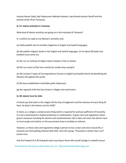Hussain Nasser Walji, Haji Fidahussein Abdullah Hameer, Haji Ahmed Hussein Sheriff and the present writer (from Tanzania).

#### **Q. 27: Islamic Activities in Tanzania:**

What kind of Islamic activities are going on in the mainland of Tanzania?

A: I confine my reply to my Mission's activities only.

(a) (a)We publish two bi‐monthly magazines in English and Swahili languages.

(b) We publish religious books in the English and Swahili languages. So far about 80 books and booklets have come out.

(c) We run an Institute of Higher Islamic Studies in Dar es Salaam.

(d) We run scores of Qur'anic schools for smaller boys and girls.

(e) We conduct 3 types of Correspondence Courses in English and Swahili which are benefiting the Muslims throughout the world.

(f) We have established a charitable public dispensary.

(g) We regularly hold free Eye‐Camps in villages and small towns.

#### **Q. 28: Islamic Cure for Aids:**

A friend says that Islam is the religion till the Day of Judgement and the solution of every thing till then. So what is the Islamic cure for AIDS?

A: Islam, as a religion, contains every thing which is required for spiritual upliftment of humanity. It is not a hand‐book for medical profession or mathematics. It gives rules and regulations which govern everyone including the doctors and mathematicians. But it does not teach the doctors how to treat cough and malaria, or the accountants how to multiply or subtract.

However, as these rules and regulations oblige a person to live a clean and moral sexual life, it prevents one from getting infected with AIDS. Here the saying, "Prevention is better than cure" proves true.

And the Prophet (S.A.W) had given prior warning to those who would indulge in unlawful sexual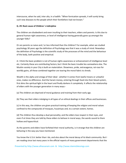intercourse, when he said, inter alia, in a hadith: "When fornication spreads, it will surely bring such new diseases to the people which their forefathers had not known."

# **Q. 29: Root cause of Children 's indicipline**

The children are disobedient and even insulting to their teachers, elders and parents. Is this due to general human‐right awareness, or level of intelligence having generally gone up amongst the younger folks?

Or are parents so naive and / or less informed than the children? For example, when we studied psychology 30 years ago the definition of Psychology was that it was a study of mind. Nowadays the definition of Psychology is the scientific study of the processes of the mind and the behaviour of the body, both positive and empirical.

A: I think the basic problem is not of human-rights awareness or enhancement of intelligence level etc. Certainly these are contributing factors; but I think the basic trouble lies somewhere else. The Muslim society in your City is built on materialism. Showiness, pride, extravaganza, rat‐race for worldly gains, all these combined together are tearing the moral fabric to shreds.

Wealth is the alpha and omega of their ideal ‐ whether it comes from lawful means or unlawful ones, makes no difference. And the haram money, entering through food into their blood system, first dims the spiritual light in the heart and finally darkens it completely. It affects the relationship of elders with the younger generation in many ways:‐

(a) The children are deprived of moral guidance and training from their early age.

(b) They see their elders indulging in all types of un ethical dealings in their offices and businesses.

(c) In this way, the children are given practical training of keeping the religion and moral values confined to the compounds of mosques, husainiyas and, to a certain extent, homes.

(d) The children thus develop a dual personality; and the elders lose respect in their eyes, and even if at times they are told by these elders to behave in moral ways, the words sound to them hollow and hypocritical.

As the parents and elders have forfeited their moral authority, is it strange that the children are behaving in the way you have mentioned.

You know the U.S.A. better than I do, and also about the moral decay of its black community. But I am reading since last many years in the official reports of many government departments that the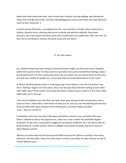blacks who have embraced Islam, have turned their localities into law‐abiding, well‐disciplined areas, free of drugs and crimes. And this acknowledgement comes from those who have declared Islam as their enemy No. 1.

It clearly proves that Islam ‐ if accepted sincerely ‐ can transform a totally rotten society into a healthy, dynamic force, vibrating with moral rectitude and spiritual sublimity. Even those prisoners who have become Muslims, have been transformed into model ones. Why can't we, the born Shi'as and Muslims, achieve the same result with our Islam?

Q. 30: Love Letters

Our children accept that boys and girls should not freely mingle; yet they assert that if keeping within the bounds of shari 'ah they wrote to each other and communicated their feelings, what is wrong with that??!! In other words love letters do not matter! Can you please look into the same and with your wealth of ahadith etc. can we give them some beneficial advice on this issue?

A. Before deciding whether there is anything wrong in love letters or not, let us ask them how these "feelings" began in the first place. Was it not because they had been looking at each other with lustful eyes? These youths must know that there is hijab of eyes as well as of the dress. Allah Subhanahu wa Ta 'ala says:

"Say unto the believer men that they cast down their gaze and guard their private parts; that is purer for them. Verily Allah is well‐Aware of what you do. And say unto the believing women that they cast down their gaze and guard their private parts, and their display not their zinat…."(Qur'an, 24:30‐31).

The believer men must cast down their gaze and believer women must cast down their gaze. None is allowed to look at the opposite sex, unless he or she is within the prohibited degree (mahram). As the man is required to struggle for earning the livelihood, he is not told to hide his body (except to a certain extent). Still he is obliged to cast down his gaze; and not to look at a Ghair Mahram woman.

Woman can easily keep herself covered and hidden because her sphere of activity is her home; therefore, she was told to cover her entire body, as well as cast down her gaze and not to look at a Ghair Mahram man.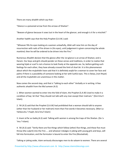There are many ahadith which say that:‐

"Glance is a poisoned arrow from the arrows of Shaitan".

"Beware of glance because it sows lust in the heart of the glancer, and enough is it for a mischief."

Another hadith says that the Holy Prophet (S.A.W.) said:

"Whoever fills his eyes looking at a women unlawfully, Allah will raise him on the day of resurrection with nails of fire driven in (his eyes), until judgement is given concerning the whole mankind; then he will be ordered to be driven into the Fire."

Numerous Ahadith declare that the glance after the 1st glance is an arrow of Shaitan; and is Haram. Our boys and girls should ponder on these verses and traditions, in order to realize that wearing hijab or scarf is not a licence to look freely at the opposite sex. So, before getting such feelings for each other, they have already crossed the limit of shari'ah. It is this phenomenon about which the mujtahidin have said that it is definitely wajib for a woman to cover her face and palms if there is a possibility of someone looking at her with lustful eyes. This is fatwa, (not Ihtyat) and all the mujtahidin are unanimous in this matter.

Now comes the second step, and that is "talking to each other" Verbally or in writing. A few authentic ahadith from the Ma'sumeen (A.S)

1. When women wanted to enter into the fold of Islam, the Prophet (S.A.W) Used to make it a condition of bay 'ah that "they should not talk with any man except their mahram." (Da'a'imu'l‐ Islam).

2. 'Ali (A.S) said that the Prophet (S.A.W) had prohibited that a woman should talk to anyone (other than her husband or her mahram) more than Five words it becomes necessary. (Man La Yahduruhu 'l‐Faqih; Da'a'imu'l‐lslam)

3. Imam Ja'far as‐Sadiq (A.S) said: Talking with women is among the traps of the Shaitan. (Da 'a 'imu 'l-Islam).

4. 'Ali (A.S) said: "Verily there are five things which follow (other) five things, and these five must throw (the culprit) into the Fire:.... and whoever indulges in joking with young girls and boys, will fall into fornication; and the fornicator is bound to enter the Fire.(Mustadrak).

Talking or joking aside, Islam seriously discourages men to do salaam to women. There are several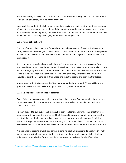ahadith in Al‐Kafi, Man la yahduruhu 'l‐faqih and other books which say that it is makruh for men to do salaam to women, more so if they are young.

Looking at this matter in the light of our present day social and family environment, this business of love‐letters may create real problems, if the parents or guardians of the boy or the girl, when approached by them to agree to, and bless their marriage, refuse to do so. The scenarios that may follow this refusal are easy to imagine, but none of them is pleasant.

# **Q. 31: Non‐alcoholic beer!!**

The sale of non‐alcoholic beer is in fashion here. And when one of my friends visited one such store, he was told he could get alcoholic one too but from the inside of the store! So the objection may not be for the sale of non‐alcoholic but the step two of inducing the customer to taste the alcoholic as well!

A: It is the same hypocrisy about which I have written somewhere else and it has come from Mecca and Medina, so it has the sanction of the Wahhabi Islam!! May we ask those Khalids, Fahds and Ben Baz's, why was it necessary to use the name "beer" for a non- alcoholic drink? Was it not to make the name, beer, familiar to the Muslims? And once they have taken the first step, it should not take them long to go further ahead and take the second and then the third steps.

It is narrated by Ibn Majah (one of the Sihah Sittah) that the Prophet said: "There will be some groups of my Ummah who will drink liquor and call it by some other name."

# **Q. 32: Selling Liquor in obedience of parents:**

Zayd's father has a grocery shop which also sells alcoholic drinks. Zayd feels guilty about this and knows pretty well that it is haram and the income is haram also. He has tried to convince his father but to no avail.

He then decided to pull out of the business, but then the father and mother said that they were not pleased with him, and the mother said that she would not waive her milk‐right and that the very God they are disobeying by selling liquor has said that you must obey parents! I tried to reason with Zayd that obedience of parents is only in compliance of God's command and not to disobey Him; but he is either not convinced or cannot decide due to parental emotional pressure.

A: Obedience to parents is wajib to a certain extent, no doubt. But parents do not have this right independently by their own authority. It is bestowed on them by Allah. Quite obviously Allah's order super cedes all others' orders. As I have mentioned in my book, Family Life of Islam: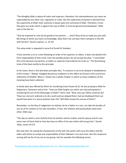"The Almighty Allah is above all rulers and superiors: therefore, His commandments can never be superceded by any other rule, regulation or order. But the superiority of parents is derived from the superiority of Allah; their authority is based upon the command of Allah. Therefore, if ever they give any order which is against the Law of Allah, it must be ignored and disobeyed." Allah says in the Qur'an:

"And we enjoined on man (to be good) to his parents:.......And if they strive to make you join with Me things of which you have no knowledge, obey them not; yet bear them company in this life with fairness" (Surah Luqman, vs. 14‐15)

The same order is repeated in verse 8 of Surah'Al‐'Ankabut.

If one commits a sin or crime following an order of his superiors or elders, it does not absolve him from responsibility of that crime. Even the worldly powers do not accept the plea, "I committed this crime because my parents, or elders or superiors had ordered me to do so." The Nuremburg trials of the Nazis testify to this principle.

As for Islam, there is the laid down principle that, "A creature is not to be obeyed in disobedience of the Creator." (Nahjul ‐balagha) Numerous traditions to this effect are found in Shi'a and Sunni collections of Ahadith. Biharu 7 Anwar has a whole chapter in which so many traditions of this meaning have been collected.

A similar plea was offered by Shimr for murdering Imam Husain (A.S). He was praying to Allah for forgiveness. Someone said to him: "How can Allah forgive you when you had participated in murdering the son of the Messenger of Allah?" Shimr said: "Woe unto you! What could we do? These our ulul-amr ordered us to do a work and we obeyed them; had we disobeyed them we would have been in a worse position than this" Will Allah accept this excuse of Shimr?

Remember, on the Day of Judgement no relative, be he a father or a son, can take the burden of any sin of his relative on his own shoulders. In fact, the relatives will purposefully avoid each other. Allah says:

"The day on which a man shall fly from his brother and his mother and his spouse and his son; every man of them shall on that day have an affair of his own which will occupy him." (Surah 'Abas, verses 34‐37)

Not only that. On seeing the chastisement of the hell, the juniors will curse the elders and the elders will refuse to accept any responsibility of their followers' sins and crime. But this reciprocal cursing will not be of any use to any group. See for example the following verses: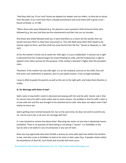"And they shall say: O our Lord! Surely we obeyed our leaders and our elders, so they led us astray from the path; O our Lord! Give them a double punishment and curse them with a great curse." (Surah al‐Ahzab, vs. 67‐68)

"When those who were followed (e.g. the parents in your question) shall renounce those who followed (e.g. the son) and they see the chastisement and their ties are cut asunder.

And those who (had) followed shall say: O were therefore us a return (to the world), then we would renounce them as they have renounced us. Thus will Allah show them their deeds to be intense regret to them, and they shall not come fourth from the fire." (Surah al- Baqarah, vs. 166-167).

As for the mother's threat not to waive her milk‐right, it is just a balderdash. A woman has a right to demand from her husband wages for breast-feeding his child, and the husband has a right to appoint some other woman for this purpose, if the mother's demand is higher than the prevalent rates.

Therefore, if the mother has any milk‐right, it is on her husband, and not on the child. (You will find some such statements in poetries, but it is just poetic licence. It has no legal standing.)

I pray to Allah to guide the parents as well as the son to the right path, and make them Muslims in reality.

# **Q. 33: Marriage with Sister‐in‐law?**

Zaid's sister‐in‐law (wife's sister) is divorced and staying with him and his wife. Islamic rule is that he cannot marry his wife's sister unless due to some reasons. His problem is that his wife's sister is in love with him and this was brought to his attention by his wife, who does not object even if laid wishes to marry her.

Zaid is getting more inclined towards her; but at the same time, he does not wish to commit any sin. Can he marry her or do mut 'ah marriage with her?

A: I was shocked to receive the above letter. Marrying two sisters at one time is absolutely haram (unlawful). There is no question of there being or not being a "reason". It is forbidden in the Qur'an and is not lawful in any circumstances in any sect of Islam.

Now one may appreciate why Islam forbids a woman to come with open face before her brother‐ in‐law, and why a man is forbidden to look at his sister‐in‐law's open face. If people remain within the boundaries of Shari'ah, such fitnah and mischief will never occur.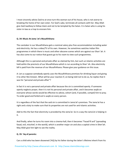I most sincerely advise Zaid to at once turn this woman out of his house, who is not averse to breaking the home of her own sister. For God's sake, terminate all contacts with her. May Allah give Zaid tawfeeq to follow Islam and not to be tempted by the Satan. It is Satan who is using his sister-in-law as a trap to ensnare him.

## **Q. 34: Music At Jama 'at's Musafirkhana**

The caretaker in our Musafirkhana gets a nominal salary plus free accommodation including water and electricity. He has a video/TV of his own. However, he sometimes watches Indian film programmes in which there is music and other obscene scenes which are against our Shari 'ah. It has also come to our notice that guests go to his room to view such programmes.

Although this is a personal and private affair as claimed by him, but such un‐Islamic activities are held wiihin the precincts of our Musafirkhana which is run according to Shari 'ah. Also electricity bill is paid from the revenue of our Musafirkhana. Please give your guidance on this issue.

A: Let us suppose somebody openly uses the Musafirkhana premises for drinking liquor and giving it to other Mu'mineen. What will be your reaction if, on being told not to do so, he replies that it was his "personal and private affair"?

In fact it is not a personal and private affair because the sin is committed openly. If someone openly neglects prayer, then it is not his personal and private affair, and it becomes wajib on everyone whose words would be effective to advise, exhort (and, if possible, compel) him to pray. To order good and forbid evil is wajib on every person.

It is regardless of the fact that the said sin is committed in Jama'at's premises. The Jama'at has a right and a duty to make sure that its properties are not used for anti‐Islamic activities.

Add to this the fact that electricity is provided by the Jama'at. So in a way the Jama'at is helping in it.

And finally, when he turns his room into a cinema-hall, then it becomes "Fasad fil ard" (spreading fasad, evil, mischief, in the world), which is another major sin and also a capital crime in Sheri'ah. May Allah give him light to see the reality.

# **Q. 35: 'Aq of parents:**

Can a child who has been disowned ('AQ) by his father during the latter's lifetime inherit from his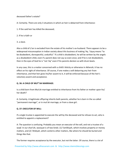deceased father's estate?

A: Certainly. There are only 3 situations in which an heir is debarred from inheritance:

- 1. If the said heir has killed the deceased;
- 2. If he is Kafir or
- 3. a slave.

Also a child of Li'an is excluded from the estate of his mother's ex‐husband. There appears to be a widespread misconception in Indian society about this business of making 'Aq. 'Uquq means "to be disobedient, disrespectful, undutiful." If a child is disobedient, he will be written by the angels as a disobedient child, even if a parent does not say so even once; and if he is not disobedient, then in the eyes of God he is "not 'Aq" even if his parents declare so with drum beats.

In any case, this is a matter concerned with a child's felicity or otherwise in Akherah; it has no effect on his right of inheritance. Of course, if one makes a will debarring any heir from inheritance, and that heir gives his/her assent to it, it will be enforced because of the heir's voluntary assent and acceptance.

# **Q. 36: A CHILD OF MUT"AH MARRIAGE:**

Is a child born from Mut'ah marriage entitled to inheritance from his father or mother upon his/ her death?

A: Certainly. A legitimate offspring inherits both parents, whether he is born in the so-called "permanent marriage", or in mut'ah marriage, or from a slave girl.

# **Q. 37: EXECUTOR OF WILL:**

If a single trustee is appointed to execute the will by the deceased and he refuses to act, who is entitled to appoint a replacement?

A: The question is confusing. Probably you mean an executor of the will, and not a trustee of a waqf. In our shari'ah, wasiyyat is of two kinds: (1) Tamlikiyah, which involves property or money matters, and (2) 'Ahdiyah, which conlerns other matters, like where he should be buried and things like that.

The former requires acceptance by the executor, but not the latter. Of course, there is a lot of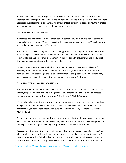detail involved which cannot be given here. However, if the appointed executor refuses the appointment, the mujtahid has the authority to appoint someone in his place. If the executor does not reject, but is lethargic in discharging his duties, or feels difficulty in acting alone, the mujtahid may appoint someone to assist him or to supervise his work

#### **Q38: VALIDITY OF A CERTAIN WILL:**

A deceased has mentioned in his will that a certain person should not be allowed to attend his funeral. Is the will in order? What if the said will is made against the eldest son? Who should then be asked about arrangements of funeral etc.?

A: A person certainly has a right to do such a wasiyyat. So far as its implementation is concerned, it is easy in places where funeral arrangements are made and controlled by the family. But in societies like the Khoja Community, where every thing is done by the Jama'at, and the funeral time is announced publicly, one has to choose the lesser evil.

I mean, the heirs have to decide whether informing the person concerned would cause (or increase) fitnah and friction or not. Avoiding friction is always more preferable. As for the permission of the eldest son (in the situation mentioned in the question), the mu'mineen may ask him together with the other heirs. It will be more in conformity with Ihtiyat.

## **Q. 39: ABOUT SUSPICION AND ACCUSATION:**

What does Holy Qur 'an and Hadith say on: (a) Accusation, (b) suspicion and (c) Tuhmat, i.e to accuse /suspect someone of doing wrong without any proof at all. A: Suspicion: "To suspect someone of doing wrong without any proof." It is "haram ". Allah Ta'ala says:

"O you who believe! avoid most of suspicion, for surely suspicion in some cases is a sin; and do not spy nor let some of you backbite others. Does one of you like to eat the flesh of his dead brother? But you abhor it; and fear Allah, surely Allah is Oft-returning (to mercy), Merciful". (Qur'an, 49:12)

The Ma'sumeen (A.S) have said that if you find your mu'min brother doing or saying something which can be interpreted in seventy ways, sixty nine of which are bad and only one is good, you should give it that one good meaning, and ignore the other bad interpretations.

Accusation: If it is untrue then it is called Tuhmat, which is even worse than ghibat (backbiting) which has been so severely condemned in the above-mentioned ayat In one particular case (i.e. slandering a married mu'minah lady of adultery without producing four witnesses) it is also a crime for which the slanderer is punished with eighty lashes If the accusation is true, then it is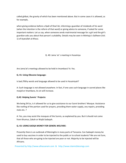called ghibat, the gravity of which has been mentioned above. But in some cases it is allowed, as for example,

when giving evidence before a Qadi of Shari'ah, informing a guardian of misdeeds of his ward (when the intention is the reform of that ward) or giving advice to someone, if asked for some important matters: Let us say, when someone sends matrimonial message for a girl and the girl's guardian asks you about that person's suitability. Details may be seen in Minhaju's‐Saliheen (Vol. 1) of Ayatullah al‐Khoui.

Q. 40: Jama 'at 's meeting in Husainiya

Are Jama'at's meetings allowed to be held in Imambara? A: Yes.

# **Q. 41: Using Obscene language:**

Is bad /filthy words and language allowed to be used in Husainiyah?

A: Such language is not allowed anywhere. In fact, if one uses such language in sacred places like masjid or Imambara, its sin will increase.

## **Q.42: Helping Sunnis ' Projects:**

We being Shi'as, is it allowed for us to give assistance to our Sunni brothers' Mosque. Assistance like roofing of the portion used for prayers, providing them water supply, any repairs, providing mats etc. ?

A: Yes, you may assist the mosques of the Sunnis, as explained by you. But it should not come from Khumus, Zakah or Wajib Sadaqah.

## **Q. 43: USING SADQA MONEY FOR GENERL WELFARE:**

Presently there is an outbreak of Meningitis in many parts of Tanzania. Can Sadaqah money be used to buy vaccines in order to be injected to the public or to school students? We are not Sure, that all those who are going to be injected are poor or not. Majority to be injected will be Africans.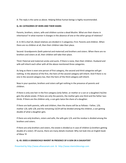A: The reply is the same as above. Helping fellow human beings is highly recommended.

# **Q. 44: CATEGORIES OF HEIRS AND THEIR SHARE:**

Parents, brothers, sisters, wife and children survive a dead Muslim. What are their shares in inheritance? In what manner it changes in the absence of one or the other group of relatives?

A: In Shi'a shari'ah, blood relatives are divided in 3 categories; First: Parents and children. When there are no children at all, then their children take their place.

Second: Grandparents (both paternal and maternal) and brothers and sisters. When there are no brothers and sisters at all, their children will take their place.

Third: Paternal and maternal uncles and aunts. If there is none, then their children. Husband and wife will inherit each other with all the above mentioned three categories.

As long as there is even one person of first category, the second and third categories will get nothing. In the absence of the first, the heirs of the second category will inherit. And if there is no one in the second category too, then the heirs of the third category will inherit.

Now in your question, brothers and sisters will get nothing in the presence of parents and children.

If there is only one heir in the first category (only father, or mother or a son or a daughter) he/she gets the whole estate. If there are only the parents, the mother gets one third and the father twothirds. If there are the children only, a son gets twice the share of a daughter.

If there are both parents, wife and children, then the shares will be as follows:‐ Father, 1/6; mother 1/6; wife 1/8; and the remaining 13/24 will be divided among the children, a son getting double of what a daughter gets.

If there are only brothers, sisters and wife, the wife gets 1/4; and the residue is divided among the brothers and sisters.

If there are only brothers and sisters, the estate is divided as in case of children (a brothers getting double of a sister). Of course, there are many details involved. Why not look into an English book of Masa 'ill

## **Q. 45: DOES A GRANDCHILD INHERIT IN PRESENCE OF A SON OR A DAUGHTER?**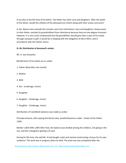A son dies in the life‐time of his father. The father has other sons and daughters. After the death of the father, would the children of the deceased son inherit along with their uncles and aunts?

A: No. Nearer heirs exclude the remoter ones from inheritance. Sons and daughters, being nearer to their father, exclude his grandchildren from inheritance because they are one degree removed. However, it is very much emphasized that the grandfather should give them a part of his estate through wasiyyat or gift; it would be in keeping with the obligation of Sila‐e‐Rihm, and in accordance with the Islamic mercy.

## **Q. 46: Distribution of deceased's estate:**

Mr. A. was drowned.

Beneficiaries of his estate are as under:

- 1. Father (died after one month).
- 2. Mother
- 3. Wife
- 4. Son ‐ (underage, minor)
- 5. Daughter
- 6. daughter ‐ (Underage, minor)
- 7. Daughter ‐ (Underage, minor)

Distribution of Cash/Bank balances was made as under:

Principal amount, after paying the Khums due, wasdistributed as under:‐ Estate of the Father 1/6th

Mother 1/6th Wife 1/8th After that, the balance was divided among the children, 2/5 going to the son, and the 3 daughters getting 1/5 each

During his life-time, the said Mr. A had bought a plot and started constructing a house for his own residence. The work was in progress when he died. The work was was completed after the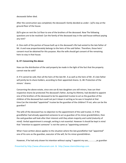deceaseds father died.

After the construction was completed, the deceased's family decided as under:‐ (a)To stay at the ground‐floor of the house.

(b)To give on rent the 1st floor to one of the brothers of the deceased. Now The following questions are to be resolved: Can the family of the deceased stay in the said house without paying any rent?

A: One‐sixth of the portion of house built up in the deceased's life had vested to the late father of Mr. A and now proportionately belongs to the heirs of the said father. Therefore, those heirs' consent must be obtained for this purpose. Also the wife should get consent of the remaining heirs to stay in that house.

# **Q. 47: Concerning the above:**

How can the distribution of the said property be made in the light of the fact that the property cannot now be sold?

A: If it cannot be sold, then all the heirs of the late Mr. A as well as the heirs of Mr. A's late father will jointly be its share-holders, according to their appointed shares. Q. 48: Protection of the minors ' shares:

Concerning the above estate, since one son & two daughters are still minors, how can their respective shares be protected.The deceased's father, during his lifetime, had decided to appoint one of the brothers of the deceased to be his appointed trustee to act as the guardian of the children of the deceased but could not put it down in writing as he was in hospital at that time.Can the intended "appointed" trustee be the guardian of the children? If not, who can be the guardian?

The wife of the deceased has no objection to the appointment of the said trustee. A: If the grandfather had already appointed someone to act as guardian of his minor grandchildren, then the said guardian will look after their interest until they attain majority and rushd (maturity of mind). Verbal appointment is enough; writing is not essential. However it should be kept in mind that "intention to appoint someone" is not the same as "appointing someone".

What I have written above applies to the situation where the late grandfather had "appointed" one of his sons as the guardian, executor of the will, for his minor grandchildren.

However, if he had only shown his intention without saying "I appoint my son,.............,as guardian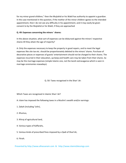for my minor grand‐children," then the Mujtahid or his Wakil has authority to appoint a guardian. In the case mentioned in the question, if the mother of the minor children agrees to the intended appointment, then I do not see any difficulty in his appointment, and it may easily be given consent to by the Mujtahid or his Wakil, if they are approached

# **Q. 49: Expenses concerning the minors ' shares:**

In the above situation, what sort of expenses can be disbursed against the minors' respective shares till they attain the age of majority?

A: Only the expenses necessary to keep the property in good repairs, and to meet the legal expenses like site tax etc. should be proportionately debited to the minors' shares. Purchase of decorative pieces or expenses of guests' entertainment should not be charged to their shares. The expenses incurred in their education, up-keep and health care may be taken from their shares. So may be the marriage expenses (simple Islamic one, not the lavish extravaganza which is seen in marriage ceremonies nowadays).

Q. 50: Taxes recognised in the Shari 'ah:

Which Taxes are recognised in Islamic Shari 'ah?

A: Islam has imposed the following taxes in a Muslim's wealth and/or earnings:

- 1. Zakah (including 'Ushr),
- 2. Khumus,
- 3. Khiraj of agricultural land,
- 4. Various types of Kaffarahs,
- 5. Various kinds of prescribed fines imposed by a Qadi of Shari'ah,
- 6. Fitrah.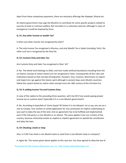Apart from these compulsory payments, there are voluntary offerings like Sadaqah, Khairat etc.

An Islamic government may urge the Muslims to contribute for some specific projects related to security of state or common welfare, But normally it is a voluntary exercise; although in cases of emergency it could be imposed by force.

# **Q. 51: Any other Income or wealth Tax?**

Is there any other Income Tax recognised by Islam?

A: The only Income Tax recognised is Khumus, and only Wealth Tax is Zakah (including 'Ushr). No other such tax is recognised by the Shari'ah.

# **Q. 52: Customs Duty and Sales Tax:**

Are Customs Duty and Sales Tax recognised in Shari 'ah?

A: No. The whole Earth belongs to Allah, and man‐made artificial boundaries (resulting from the un‐Islamic concept of nation‐states) are not recognised in Islam. Consequently all the rules and institutions based on that concept (Immigration, Passport, Visa, Customs, Restrictions on export and import etc.) go against the Islamic spirit although in present days even Muslim countries follow this system based on nation-state concept since the 18th century of the Christian Era.

# **Q. 53: A voiding Income Tax and Customs Duty:**

In view of the replies to the preceding three question, will it be OK if one avoids paying proper income tax or customs duty? Especially if it is a non‐Muslim government?

A: No. According to Ayatullah al‐'Uzma Sayyid 'Ali Sistani it is not allowed. Let us say, you are on a visit to Canada. Your written or verbal application for visa constitutes an implicit undertaking on your part to obey the law of the land. And an agreement has to be fulfilled and implemented, even if the 2nd party is a non‐Muslim or an atheist. The same applies if you are a citizen of the country, because citizenship entails an explicit or implicit agreement to uphold the constitution and obey the laws.

# **Q. 54: Cheating a bank or shop**

Also, is it OK if we cheat a non‐Muslim bank or steal from a non‐Muslim shop or company?

A: Again No. The reason given above applies to this case too. You have agreed to obey the law of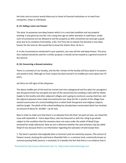the land; and no country would allow you to cheat its financial institutions or to steal from companies, shops or individuals.

## **Q. 55: Selling a worn out freezer:**

The Jama 'at possesses one deep freezer which is in a very bad condition and not properly working. It was given by one Mu 'min a long time ago on either donation or wakf basis. Under such circumstances are we allowed to sell this property as after sometimes we wont get a good price due to its condition.Fortunately, a Mu 'min from Dar es Salaam has donated a new deep freezer for the Jama'at. We would like to know the Islamic Shari 'ah for it.

A: In the circumstances mentioned in your question, you may sell the said deep freezer. The price thus realized should be used for a similar purpose; it should not be treated as a general income of the Jama'at.

## **Q. 56: Concerning a disused cemetery:**

There is a cemetery in our locality, and the Mo 'mineen of the locality still bury dead in its eastern and western ends. Although no fresh corpse has been buried in its middle part since about last 70 years,

yet there are still signs of the old graves.

The above middle part of the land has turned now into a playground and fun‐place for youngsters: also the government has occupied one part of the said portion by installing a tube‐well for Water Supply to the locality and other adjascent villages and is going to construct a pump‐shed too: and the adjacent peasants have made encroachments too. Now the Shi 'a youths of the village have started construction of a school building here in which both the general and religious subjects shall be taught. The plinth of the school building has already been constructed which has involved an amount of about Rs. 20,000/ = up till now.

Now in order to make sure that there is no obstacle from the Shari 'ah point of view, we raised the issue with Ayatullah al‐ 'Uzma Aqae Khoui, who has favoured us with the ruling to go ahead subject to the condition that the cemetery does not come under the ambit of Waqf (Copy enclosed for ready reference). Now we are in dilemma whether the said cemetery may be called Waqf of not; because there is no information regarding the said piece of land except that:‐

1. The land in question had originally been a Common Land not owned by anyone. (The extract of Patwari record, showing the said land as Shamilati Deh i.e. a common land, customarily known as common grazing field/ pasture, is enclosed.) It is besides the fact that there is no evidence that it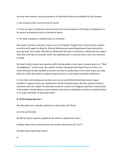has ever been anyone's personal property or otherwise which was endowed for the purpose.

2. Our ancestors later used the land for burial.

3. There are signs of old graves almost all over the land and process of burying is still going on in its eastern and western ends as mentioned above.

4. The land in question is widely known as cemetery.

Meanwhile, we have received a fresh issue of "Al‐Tawhid" (English) from Tehran which contains an article with regard to Waqf by 'Allamah Muhammad Jawad Maghniyyak (Copy enclosed for your perusal). The worthy 'Allamah has Elaborated the issue of cemetery in detail and has made it clear that such type of cemetery which has originally been a common land is not to be reckoned as Waqf.

We may humbly request your gracious-self to kindly guide us and make us aware about our "Shari 'ah obligations " on this issue. We couldn't further correspond with Aqae Khoui as there is no communication facility available at present and also it usually takes a lot of time to get any reply from him, when the matter is of great importance for us and needs immediate settlement.

A: Your letter with enclosures has been sent to me by the World Ahlul Bayt Islamic league (London). It appears from your explanation and the attached papers that the said plot (used as cemetery) was not a Waqf. The plainned school for secular‐cum‐religious education may be built, if the builders strictly adhere to the conditions laid down by Ayatullah al‐'Uzma as‐Sayyid al‐Khoui in his reply. And Allah Ta'ala knows better.

## **Q. 57 On Various hair‐do 's:**

My wife plaits hair using the artificial hair which they call "Rasta":

- (a) Is this permissible
- (b) Will her ghusl‐ hayd or Janabah be OK with her plaited hair intact?
- (c) What about the current feminine hair fashion which they call "Curl"?
- (d) What about bleaching of skin?

A: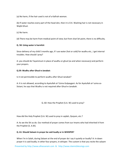(a) No harm, if the hair used is not of a Kafirah woman.

(b) If water reaches every part of the head skin, then it is O.K. Washing hair is not necessary in Wajib Ghusl.

(c) No harm.

(d) There may be harm from medical point of view; but from shari'ah point, there is no difficulty.

## **Q. 58: Using water is harmful:**

Since delivery of my child 5 months ago, if I use water (hot or cold) for wudhu etc., I get internal troubles. How should I pray?

A: you should do Tayammum in place of wudhu or ghusl (as and when necessary) and perform your prayers.

## **Q.59: Wudhu after Ghusl‐e‐Janabat:**

Is it not permissible to perform wudhu after Ghusl Janabat?

A: It is not allowed, according to Ayatullah al‐'Uzma Gulpaygani. As for Ayatullah al‐'uzma as‐ Sistani, he says that Wudhu is not required after Ghusl‐e‐Janabah.

Q. 60: How the Prophet (S.A. W) used to pray?

How did the Holy Prophet (S.A. W) used to pray in sajdah, Quiyam, etc.?

A: As we the Shi as do. Our method of prayer comes from our Imams who had inherited it from the Prophet (S. A.W).

# **Q. 61: Should Salaam in prayer be said loudly or in WHISPER?**

When I'm in Salah, during Salaam at the end of prayer do I say it quietly or loudly? A: In dawn prayer it is said loudly; in other four prayers, in whisper. The custom is that you recite the salaam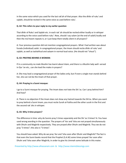in the same voice which you used for the last rak'ah of that prayer. Also the dhikr of ruku' and sajdah, should be recited in the same voice as used before ruku'.

## **Q. 62: This refers to your reply to my earlier question**

That dhikr of Ruku' and Sajdah etc. in each rak 'ah should be recited either loudly or in whisper according to the voice used before ruku'. Now, should I say salam (at the end of salah) loudly and then the ma'moom repeats it, or I just keep them totally silent in all prayers?

A: Your previous question did not mention congregational prayers. What I had written was about furada (individual) salah. In congregational prayer, the Imam should recite dhikr of ruku' and sajdah, as well as tashahhud and salaam in normal loud voice. (He should not "shout").

# **Q. 63: PRAYING BEHIND A WOMAN:**

If in a community no male Muslim has learnt about Islam, and there is a Muslim lady well‐ versed in Qur 'an etc., can she lead the males in prayers?

A: She may lead a congregational prayer of the ladies only; but if even a single man stands behind her, she can not be the Imam of that prayer.

# **Q. 64: Praying in a Sunni mosque:**

I go to a Sunni mosque for praying. The Imam does not hate the Shi 'as. Can I pray behind him? And how?

A: There is no objection if the Imam does not show any hatred towards the Shi'as. When you want to pray behind a Sunni Imam, you must recite Surah al‐Fatiha and the other surah in the first and the second rak 'ahs in whisper.

# **Q. 65: Why 3‐time prayers?**

The difference in time: why do Sunnis pray 5 times separately and the Shi 'as 3 times? A: You have used wrong wording in the question. The prayers of' Asr and 'Isha are not prayed simultaneously with Dhuhr and Maghrib respectively. They are prayed after Dhuhr and Maghrib. Thus we do not pray "3 times"; this also is "5 times".

You should have asked: Why do we pray 'Asr and 'Isha soon after Dhuhr and Maghrib? The fact is that even the Sunni books record that the Prophet (S.A.W) some times prayed 'Asr soon after Dhuhr and 'Isha soon after Maghrib, in order to give his Ummah some latitude in this mater.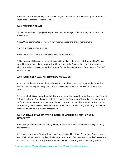However, it is more rewarding to pray each prayer in its fadhilat time. For description of Fadhilat times, read "Elements of Islamic Studies".

#### **Q. 66: PERFUME IN PRAYER**

Can we use perfumes in prayers? If i put perfume and then go to the mosque, am I allowed to pray with it?

A: Yes. Using perfume for prayers is highly recommended and brings more reward.

## **Q. 67: THE FIRST MOSQUE BUILT:**

Which was the first mosque built by the Holy Prophet (S.A.W)?

A: The mosque of Quba, a few kilometres outside Medina, where the Holy Prophet (S.A.W) had stayed for more than 14 days waiting for 'Ali (A.S) and Ahlul Bayt. He built there the mosque which is extolled in the Qur'an as the "mosque founded on piety (taqwa) from the very first day". (Qur'an, 9:108).

# **Q. 68: RECITING SHAHADATAIN IN FUNERAL PROCESSION:**

In this part of the world when the Muslims carry a dead‐body for burial, they loudly recite the Shahadatayn. Some people say that it is not allowed because it is an innovation. What is the truth?

A: It is true that it is an innovation. But it is wrong to say that every thing started after the Prophet (S.A.W) is unlawful. One should see whether a particular "innovation" is good or bad; whether it conforms to the demands and nature of Islam or not, and then should decide accordingly. In this case, Reciting La Ilaha Illallah, Muhammadun Rasulullah, is not bad at any time. Why should it be considered unlawful in a funeral procession?

# **Q. 69: WHEN AND BY WHOM WAS THE SYSTEM OF WASHING THE FEET IN WUDHU INTRODUCED?**

At what stage of Islamic history and by whom, the form of Wudhu (especially washing the feet) was changed?

A: It appears from some Sunni writings that it was changed by 'Umar. The famous Sunni scholar, Shah Waliullah Muhaddith Dehlavi (the father of Shah 'Abdul 'Aziz Muhaddith Dehlavi) has written in Izalatul 'l-Khifa' (vol.2, p. 84): There are many masa'il concerning which conflicting traditions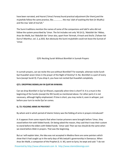have been narrated, and Hazrat ('Umar) Farooq found practical adjustment (for them),and the mujtahids follow the same practice, like................ the mas 'alah of washing the feet (in Wudhu) and the mas 'alah of mut'ah."

The Sunni traditions mention the names of some of the companions and tabi'in who did not follow the system prescribed by 'Umar. The list includes not only 'Ali (A.S), 'Abdullah ibn 'Abbas, Anas ibn Malik, but 'Abdullah ibn 'Umar also, apart from 'Ikrimah, A'mash and Sha'bi. (Tafseer Ad‐ Durru'l‐Manthur, vol. 2, p.263). But obviously the Sunni mujtahidin could not leave the Sunnat of 'Umar.

Q70: Reciting Surah Without Bismillah in Sunnah Prayers

In sunnah prayers, can we recite the sura without Bismillah? For example, whenwe recite Surah Qul Huwallah seven times in the prayer of the Night of Destiny? A: No. Bismillah is a part of every Sura (except Surah 9). If you drop it, you have not recited Qul Huwallah completely.

## **Q71: DROPPING BISMILLAH IN QUR'AN KHWANI:**

Can we drop Bismillah in Qur'an Khwani, especially when time is short? A: It is a must in the beginning of the Surahs (except the 9th Surah) as mentioned above. For other parts it is not necessary, although highly emphasized. If time is short, you may recite it, even in whisper, just before your turn to recite Qur'an comes.

## **Q. 72: FOLDING ARMS IN PRAYERS?**

By whom and in which period of Islamic history was the folding of arms in prayers introduced?

A: It appears from some reports that when Iranian prisoners were brought before 'Umar, they stood before him with folded hands. On being asked the reason, they said that it was their custom to stand before the elders with folded hands. 'Umar said: Then we too should do the same when we stand before Allah in prayers. That was the beginning.

But as I will explain later, the idea was not accepted in Medina there are some pointers which show that it had caught up in the early days of Mu'awiyah's governorship in Damascus. When Anas ibn Malik, a companion of the Prophet (S. A. W), went to Syria, he wept and said: "I do not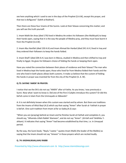see here anything which I used to see in the days of the Prophet (S.A.W), except this prayer, and that too is disfigured." (Sahih al‐Bukhari).

Then there are these four Imams of the Sunnis. Look at their fatwas concerning this matter; and you will see the truth yourself.

1. Imam Malik ibn Anas (died 179) lived in Medina.He orders his followers (the Malikiyah) to keep their hands open, saying that it is the way the people of Medina pray, and they must have learnt it from the Prophet (S.A.W).

2. Imam Abu Hanifah (died 150 A.H) and Imam Ahmad ibn Hanbal (died 241 A.H.) lived in Iraq and they ordered their followers to keep the hands folded.

3. Imam Shafi'i (died 204 A.H.) was born in Mecca, studied in Medina and then shifted to Iraq and finally to Egypt. He gives his followers choice of folding the hands or keeping them open.

Have you noted the connection between their places of residence and their fatwas? The man who lived in Medina kept the hands open; those who lived far from Medina folded their hands and the one who lived in both places allows both customs. It make us believe that the custom of folding the hands in prayer was invented far from the city of the Prophet (S. A. W).

## **Q.73: SAYING 'AMEN' IN PRAYER:**

I notice that we the Shi'a do not say "AMEN" after al‐Fatiha. As you know, I was previously a Sunni. Now what I want to know is: Did one of the first 3 Caliphs introduce this system? Or did this bid'ah come in Islam from the Ummayads or Abbasids?

A: It is not definitely known when this custom was started and by whom. But there are traditions from the Imams of Ahlul Bayt (A.S) which say that saying "Amen" after Surah al‐ Fatihah in prayer is bid'ah. One such tradition from Imam Ja'far as‐Sadiq (A.S) says:

"When you are (praying) behind an Imam and he finishes Surah al‐Fatihah and completes it, you should say, "Alhamdu‐Lillahi Rabbil 'Alameen", and do not say "Amen". (Al‐Kafi and Tahdhibu 'l‐ ahkam). It indicates that saying "Amen" had become established by that time, i.e. in Umayyad period.

By the way, the Sunni book, "Naylu 'l‐awtar " quotes Imam Malik (the leader of the Malikis) as saying that the Imam should not say "Ameen" in those prayers which are recited loudly.

## **Q. 74: KADHALIKAALLAHU RABBI**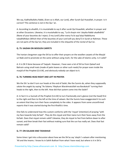We say, Kadhalikallahu Rabbi, (Even so is Allah, our Lord), after Surah Qul Huwallah, in prayer. Is it correct? This sentence is not in the Qur 'an.

A: According to ahadith, it is mustahabb to say it after surah Qul Huwallah, whether in prayer and at other Occasions. Likewise, it is mustahabb to say, "La bi shayin min 'alayika Rabbi ukadhdhib" (None of your bounties do I reject, O my Lord!) after every Fa bi ayyi'alayi Rabbikuma tukadhdhiban (Which then of the bounties of your Lord will you deny?) in Surah ar‐Rahman. These are not parts of the Qur'an; they are included in the etiquette of the recital of Qur'an.

# **Q. 75: SAJDAH ON WOOLEN CARPETS**

The Iranian clergymen urge the Shi'as to offer their prayers on the woollen carpets of the Masjid un Nabi and to prostrate on the same without using muhr, for the sake of Islamic unity. Is it valid?

A: It is OK if done because of Taqiyah. However, I have seen a lot of Shi'as from Qateef and Bahrain using small mats (made of palm leaves or other such reeds) for prayer even inside the masjid of the Prophet (S.A.W), and obviously nobody can object to it.

# **Q. 76: TURNING HEAD RIGHT AND LEFT IN PRAYER:**

We the Shi 'as don't turn our heads at the end of Salah, like the Sunnis do, when they supposedly salute the angels by saying "As‐Salamu 'Alaykum Warahmatullahi wa Barakatuh" turning their heads to the right, then to the left. How did that system come into the Salah?

A: In fact it is a Sunnah of the Prophet (S.A.W) to turn fractionally one's glance (not the head) first to the right and then to the left at the time of salaam. But the Sunnis have exaggerated it to such an extent that they turn their faces completely to the sides. It appears from some unconfirmed reports that it was started during the first Khalifa's time.

One fails to understand how this custom conforms with the 'niyyat' (intention) of praying "with my face towards holy Ka'bah". They do this niyyat and then twice turn their faces away from the Ka'bah. Does that niyyat remain valid? Likewise, they do niyyat to fast from before dawn to after sunset; and then break their fast without making sure that the sun has really set. Does that fast remain valid?

## **Q. 77: ON SALAAM AND TASHAHUD**

Some times I get into a discussion about how we the Shi'as say 'alayhi 's‐salaam after mentioning 'Ali and the Imams. I know its in Sahih Bukhari from what I have read, but where is it in Shi'a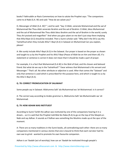books? Fakhruddin ar‐Razis Commentary on how to salute the Prophet says: "The companions came to al‐Nabi (S.A. W) and said: "How do we salute you?

O, Messenger of Allah (S.A. W)? "; and he said: "Say: O Allah, venerate Muhammad and the aal of Muhammad like Thou didst venerate Ibrahim and the aal of Ibrahim: O Allah, bless Muhammad and the aal of Muhammad like Thou didst bless Ibrahim and the aal of Ibrahim in the world; surely Thou Art praised and magnified " And when you give salam on me don't just stop there implying that Ahlul Bayt (A.S) should be included. Then a Sunni scholar said: "Why don't the Shi'a say this Tashahhud when they include Ahlul' l‐Bayt (A.S) in Salawat on Muhammad Can you explain, please!

A: We surely include Ahlu'l‐Bayt (A.S) in the Salawat. Our prayer is based on the prayer as shown and taught to us by the Prophet and his Ahlu'l‐Bayt (Peace of Allah be on him and them all). If a statement or sentence is correct it does not mean that it should be made a part of prayer.

For example, it is a fact that Muhammad (S.A.W) is the Wali of God, and His chosen and beloved friend. But what do we say in the Tashahhud? "I bear witness that Muhammad is His servant and Messenger." That's all. No other attribute or adjective is used. After that comes the "Salawat" and only that sentence is used which is prescribed for this purpose here, and which is taught to us by the Ahlu'1‐Bayt (A.S).

## **Q. 78: CORRECT PRONOUCIATION OF SALAWAAT**

Some people say in Salawat: Allahumma Salli 'ala Muhammad wa 'ah Muhammad. Is it correct?

A: The correct way according to Arabic grammar is, Allahumma Salli 'ala Muhammadin wa 'ali Muhammad.

#### **Q. 79: HOW ADHAN WAS INSTITUED?**

According to Sunni Tarikh the adhan was instituted by one of the companions hearing it in a dream... so it is said that the Prophet told Bilal ibn Raba (R.A) to go on the top of the Masjid-un-Nabi and say Adhan. It sounds as if Adhan was something the Muslims made up at the spur of the moment.

A: There are so many traditions in the Sunni books, all contradicting each other: there are so many companions mentioned in various stories that one is bound to think that each narrator had his own axe to grind ‐ wanted to promote his own favourite companion.

Adhan is an 'ibadah (act of worship); how can an 'ibadah be instituted through people's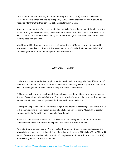consultation? Our traditions say that when the Holy Prophet (S. A.W) ascended to heaven in Mi'raj, Jibra'il said adhan and the Holy Prophet (S.A.W.) led the angels in prayer. But it will be wrong to infer from this tradition that adhan was started in Mecca.

It was not. It was started after hijrah in Medina, but its basis was that adhan of Jibra'il during the Mi 'raj. Among Sunni Muhaddithin, at‐Tabarani has narrated from Ibn 'Umar a hadith similar to what I have just narrated from our books; also Ibn Marduwayh has narrated from 'A'ishah from the Prophet a similar hadith.

Masjid‐un‐Nabi in those days was thatched with date‐fronds. (Minarets were not invented for mosques in the early days of Islam. It is a later innovation.) So, Bilal ibn Rabah (not Raba) (R.A) could not get on the top of the Mosque of the Prophet (S.A.W).

Q. 80: Changes In Adhan

I tell some brothers that the 2nd caliph 'Umar ibn Al‐Khattab took Hayy 'Ala Khayril 'Amal out of the Adhan and added "As Salatu Khairum Minanawum ". They say where is your proof? So that s why I 'm coming to you to know where is the proof in the Sunni books?

A: These are well‐known facts, although Sunni scholars keep them hidden from their followers.' Allamah Qawshaji and 'Allamah Taftazani (two authoritative Sunni scholars and theologians) have written in their books, Sharh Tajrid and Sharh Maqasid, respectively, that:

"Umar (2nd Caliph) said: 'There were three things in the days of the Messenger of Allah (S.A.W). I forbid them and make them haram (unlawful) and shall punish for them: Mut'ah (marriage) of women and Hajjut‐Tamattu', and Hayya 'ala Khayril‐amal."

Imam Malik ibn Anas has narrated in his al‐Muwatta' that during the caliphate of 'Umar the Mu'azzin came to call him for the dawn prayer and found him asleep. He said:

As‐salatu Khayrum minan nawm (Prayer is better than sleep); 'Umar woke up and ordered the Mu'azzin to include it in the Adhan of Fajr." (Kanzul ummal, vol. 4, p. 270). When 'Ali (A.S) heard it, he said: "Do not add in Adhan what is not in it." (Naylul-Awtar of Imam Shaukani, vol. 1, p. 238). But obviously, Khalifa's order was obeyed.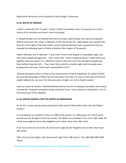Many other references can be quoted for these things, if necessary.

# **Q. 81: BID'AH IN TARAWIH**

I read in a book that the "Tarawih " prayer is bid'ah according to shia. Can you give me a short history of its institution and how it came into being?

A: Nawafil prayers are not allowed with Jama'at except salatul‐istisqa' (the salat for praying to Allah to send rain). But 'Umar, in defiance of this rule of shari'ah, made people pray nawafil with Jama'ah in the nights of the holy month, and he himself said that it was a good bid'ah! See for example the following report of Sahih al‐Bukhari (the chapter of Taraweeh):

'Abdu'r‐Rahman, son of 'Abd said : "I went with 'Umar to the Masjid in a Ramadhan night; and there were people disorganised.... Then 'Umar said: 'I think it would be ideal if I make them pray together with one reciter' (i.e., behind an Imam of Jama'at); so he thus decided and gathered them behind Ubay ibn Ka'b.... Then I went there with him another night and the people were praying with one Imam. 'Umar said: 'A good bid'ah is this.'"

'Allamah Qastalani writes in Irshad as‐Sari (Commentary of Sahih al‐Bukhari): He called it bid'ah, because the Messenger of Allah had not prescribed it for them nor was it in the days of the (first caliph) Siddiq (R.A), nor was it for the early parts of night, nor to this (fixed) number."

Imam as‐Suyuti (in Tarikhu 'I‐Khulafa) Muhammad ibn Sa'd (in at‐Tabaqat) and others have clearly counted the Taraweeh among the things started by 'Umar. 'Umar started it in Ramadhan, 15 A.H., the second year of his caliphate.

# **Q. 82: SPECIAL NAWAFIL FOR THE MONTH OF RAMADHAN:**

Do we Shi 'as have special prayers during the Holy month of Ramadhan other than the Wajib 5 prayers?

A: According to our traditions, there are 1000 rak'ah prayers (i.e. 500 prayers of 2 rak'ah each) spread over the 30 nights of the holy month. The details are as follows: From 1st to 20th night: 20 rak'ah every night (8 rak'ah after Maghrib and 12 after 'Isha) Total: 400 rak'ah.

From 21st to the end of month: 30 rak'ah every night (8 after Maghrib and 22 after 'Isha) Total: 300 rak'ah.

19th, 21st and 23rd nights: 100 raka'ah each night Total: 300 raka'ah. Thus 400+300+300=1000 rak'ah.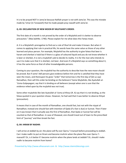It is to be prayed NOT in Jama'at because Nafilah prayer is not with Jama'at. This was the mistake made by 'Umar (in Taraweeh) that he made people pray nawafil with Jama'at.

# **Q. 83: DECLARATION OF NEW MOON BY MUJTAHID'S ORDER:**

The first date of a month is not proved by the order of a Mujtahid and it is better to observe precaution." (Mas'alahNo. 1740). Please explain for me what does this Fatwa mean.

A: It is a Mujtahid's prerogative to find out a rule of Shari'ah and make it known. But when it comes to applying that rule in practical life, his words have the same value as those of any other learned and pious person. For example, Mujtahid has the authority to give fatwa that beer is haram and sherbat is halal but if there is a glass of coloured liquid and you do not know whether it is beer or sherbet, it is not a mujtahid's job to decide its reality. It is for the man who intends to use it to make sure that it is sherbet, not beer. And even if a Mujtahid says so something about it, it has the same force as that of other knowledgeable persons.

Coming to your question, the mujtahid has the authority to describe how the new moon should be proved. But if some' Adil persons give evidence before him and he is satisfied that they have seen the moon, and thereupon he gives "order" that tomorrow is the first day of (let us say) Ramadhan, then will this order be binding on the believers? Some Mujtahids, like Ayatullah al‐ 'Uzma Gulpayegani, say that it is binding on all believers (except when one is sure that the evidence relied upon by the mujtahid was not true).

Some other mujtahids like late Ayatullah al‐'Uzma al‐Khoui (R. A) say that it is not binding, as the fatwa quoted in your question shows. However, he had said that it was better to observe Ihtiyat (precaution).

It means that in case of the month of Ramadhan, one should fast, but not with the niyyat of Ramadhan; instead one should fast with intention of Qada (if a fast is due) or Sunnat. Then if later on it was known that it actually was the first of Ramadhan, that Qada or Sunnat fast will be counted as that of Ramadhan. In case of Shawwal, one should travel out of town to the prescribed limit of "journey" and then break the fast.

# **Q. 84: IHRAM BY NADHR:**

I will arrive at Jeddah by air; the plane will fly over Qarnu 'l‐manazil before proceeding to Jeddah. Can I make nadhr to put on Ihram and become muhrim when the plane flies over Qarnu 'l‐ manazili? Or, is it better if I become muhrim when the plane lands at Jeddah? Or, should I make nadhr to became muhrim from home?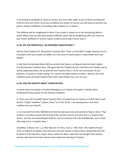A: According to Ayatullah al‐'Uzma as‐Sistani, you may make nadhr to put on Ihram and become muhrim from your home. So all your problems are solved. Of course, you will have to sacrifice one goat or sheep as Kaffarah of travelling under shadow (i.e. in plane).

This Kaffarah will be slaughtered in Mina. If you travel in closed car or bus during hajj (Mecca‐ Arafat‐Mina), that too will need another Kaffarah, which will be slaughtered after you return to your home. [Kaffarah of 'Umrah is given at Mina and of hajj in home town.]

# **Q. 85: DID THE PROPHET(S.A. W) PERFORM TAWAFUN NISA '?**

Did the Holy Prophet (S.A. W) perform Tawafun Nisa'? How is it that NOT a single reference to it is traceable in the Sunni books of Hadith, as in the case of Tawaf Qudum, Tawaf lfadah and Tawf Wada'?

A: Ash‐Sharif al‐Murtada (died 436) has written that there is no dispute that the Holy Prophet (S.A.W) had done Tawafun Nisa'. (All agree that the Prophet (S.A.W.) had done two Tawafs; and as will be explained below, the second one was Tawafun Nisa'.). As for the second part of your question, I'll quote an Arabic saying: "It is not the first glass broken in Islam". May be, the Sunni traditions have contused Tawafun Nisa' with Tawaf Wada'; but I am not sure.

# **Q. 86: GIVE ME AHADITH ABOUT TAWAFUN NISA**

In which book and chapter of hadith belonging to our School of thought is Tawafun Nisa' mentioned? Please quote me the relevant traditions.

A: There are a lot of ahadith about Tawafun Nisa' narrated from our Imams in al‐Kafi, Man la yah duruhu 'l‐faqih, Tahdhibu 'l‐ahkam, Wasa 'ilu sh‐Shi 'ah etc. I am quoting here a few short traditions for your benefit.

1. It is narrated from Abu 'Abdillah (A.S) that he said about one who performs Hajj al‐ Qiran. "Hajj al‐Qiran is not done except with driving of the sacrifice animal; and upon him is a Tawaf of the House, and two rak'asnearMaqam Ibrahim, and sa'y between the Safa and Marwah, and a Tawaf after Hajj and it is Tawafun Nisa'."

(Tahdhibu 'l‐ahkam, Vol. 1, p. 458; Wasa'ilu 'sh‐Shi'a, vol.8, p. 149). Note: This hadith of Imam Ja'far as‐Sadiq (A.S) explains that there are only two Tawafs in Hajj al‐Qiran. Remember that the Prophet (S.A.W) had done Hajj al‐ Qiran, while the others (who had not brought their sacrifice animals with them from their places) were ordered to do Hajj at‐Tamattu'.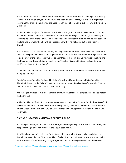And all traditions say that the Prophet had done two Tawafs: First on 4th Dhul‐hijja, on entering Mecca. He did Tawaf, prayed Salatut Tawaf and then did sa'y. Second, on 10th Dhul‐hijja after sacrificing the animals and shaving the head (Tahdhibu 'l-ahkam vol. 1, p. 576; Furu' al-Kafi, vol. 1, p. 233) 2.)

2. Abu 'Abdillah (A.S) said: "At‐Tamattu' is the best of Hajj; and it was revealed in the Qur'an and established by the sunnah. It is incumbent on one who does Hajj at-Tamattu', after arriving at Mecca to do Tawaf of the House, and pray two rak'ah near Maqam Ibrahim, and do sa'y between the Safa and Marwah; then he will do Taqseer and with it he will come out of the Ihram of 'Umrah.

And he has to do two Tawafs for the Hajj and Sa'y between the Safa and Marwah and after each Tawaf he will pray two rak'as near Maqam Ibrahim. And as for the one who does Hajj Ifrad, he has to do a Tawaf of the House, and two rak'as near Maqam Ibrahim, and Sa'y between the Safa and the Marwah, and Tawaf of ziyarah, and it is the Tawafun Nisa'; and he is not obliged to offer sacrifice or slaughter (an animal)."

(Tahdhibu 'l‐ahkam and Wasa'ilu 'sh‐Shi'a as quoted in No. 1.) Please note that there are 3 Tawafs in Hajj at‐Tamattu':

First in 'Umratut Tamattu' (followed by Salatu‐Tawaf "and Sa'y); Second in Hajjut Tamattu' (likewise followed by the Salatu‐Tawaf and Sa'y (some times it is called Tawaf‐ul‐Ifadah); Third is Tawafun Nisa' followed by Salatut Tawaf, but no Sa'y.

And In Hajj al‐Ifrad (or al‐mufrad) there are only two Tawafs like Hajj al‐Qiran, with one sa'y after the first Tawaf.

3. Abu 'Abdillah (A.S) said: It is incumbent on one who does Hajj at‐Tamattu' to do three Tawafs of the House, and he will pray two rak'as after every Tawaf, and he has to do two Sa'y (Tahdhibu 'l‐ ahkam; Wasa'ilu 'sh‐Shi'a, and Furu' al‐Kafi as mentioned above) I think these short ahadith will satisfy you.

## **Q. 87: WHY IS TAWAFUN‐NISA' WAJIB BUT NOT A RUKN?**

According to the Mujtahids, the Tawafun Nisa', even though obligatory, is NOT a pillar of Hajj,and not performing it does not invalidate the Hajj. Please clarify.

A: In Shi'a fiqh, rukn (pillar) is used for that part which, even if left by mistake, invalidates the 'ibadah. For example, ruku' is a rukn (pillar) of salah; if you leave it even by mistake, your salah is batil. But dhikr of ruku' (although obligatory) is not rukn; so if you go in ruku' and then do not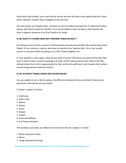recite dhikr (by mistake), your salah will be correct and you will have to do sajdah sahw for it after salah. Likewise, Tawafun Nisa' is obligatory but not rukn.

One who leaves out Tawafun Nisa', will have to return to Mecca and perform it; otherwise his/her spouse will remain haram for him/her. If it is not possible to return to Mecca, then he/she will have to appoint someone to do that Tawaf as his badal.

# **Q. 88: WHAT IF A SUNNI DOES NOT PERFORM TAWAFUN NISA '?**

According to Sunni verdict a person's marital partner becomes permissible after performing Tawaf Ifadah. On the contrary, a person who does not perform the Tawafun Nisa', his or her marital partner is not permissible according to our fiqh. Please enlighten me.

A: Your question is very vague‐ What do you want to know? The Sunnis are governed by their fiqh, and if a Sunni's hajj is correct according to his fiqh, his/her spouse will become halal to him/her, without doubt. But a Shi'a is governed by his fiqh, and he/she will have to do Tawafun Nisa' before marital things become halal for him/her.

## **Q. 89: IN WHICH THINGS ZAKAH AND KHUMS WAJIB?**

Can you explain to me in detail, please, the difference between Khums and Zakah? How do you pay Khums and how do you pay Zakah?

A: Zakah is wajib on 9 items:

- 1. Gold coins,
- 2. Silver coins;
- 3. Wheat
- 4. Barley,
- 5. Dates,
- 6. Grapes
- 7. Camels
- 8. Cows and Buffalos
- 9. and Sheep and goats.

The conditions and rates are different for each item.Khums is wajib on 7 items:

- 1. Booty acquired in Jihad,
- 2. Mines,
- 3. Things obtained by diving,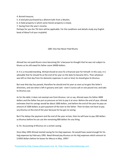4. Buried treasure,

5. A land plot purchased by a dhimmi kafir from a Muslim,

6. A Halal property in which some Haram property is mixed,

7. Saving from the year's income.

Perhaps for you the 7th item will be applicable. For the conditions and details study any English book of Masa'il of your mujtahid.

## Q90: One Has Never Paid Khums

Ahmad has not paid Khums since becoming Shi 'a because he thought that he was not subject to khums as he still owed his father some \$4000 dollars.

A: It is a misunderstanding. Ahmad should at once fix a financial year for himself. In this case, it is advisable that he should fix at the end of his year on the date he became Shi'a. Then whatever was left on that day from his domestic expenses in cash or kind, he should give its khumus.

But now that day has passed, therefore he should end his year as soon as he gets this letter's directives, and see what is left in grocery and cash ‐ even 5 ounce salt or one pound rice; and take its khumus out.

As for the debt, it does not exempt one from khumus. Let us say, Ahmad owes his father 4000 dollars and the father has put no pressure on him to pay it at once. Before the end of year, Ahmad estimates that his savings would be about 1000 dollars, and before the end of the year he pays an amount of 1000 dollars as part payment of the loan to the father. Then he does not have to pay any khumus at the end of the year because he has got no saving.

But if he delays the payment and the end of the year arrives, then he will have to pay 200 dollars as khumus before he can use the remaining 800 dollars for any thing.

Q. 91: Accounting of Khumus on a certain saving:

Since May 1993 Ahmad started saving for his Hajj expenses. He would have saved enough for his Hajj expenses by February 1995. Need Ahmad pay khumus on his Hajj expenses which amount to \$ 6950 dollars before he leaves for Mecca in May, 1995?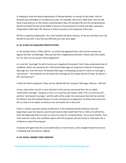A: Keeping in view the above explanations if Ahmad decides, on receipt of this letter, that his financial year will begin on 1st May every year, for example, and end on 30th April, then he will have to pay khumus on the money saved between May, 93 and April 94; but the saving between May 94 and April 95 will not be liable to khumus if he purchases his ticket and other necessary things before 30th April, 95, because it will be counted as the expenses of the year.

All this is a general explanation. You read carefully the book, khumus, of my son and then you may decide for yourself. If you feel any difficulty you may write again

# **Q. 92: IS MUT'AH LEGALIZED PROSTITUTION?**

In 'the Sunday Times' of May 12th 91, an article had appeared that a few Iranian women are against the Mut 'ah Marriage. They say that this is legalized prostitution. Please clear this matter for me. How can we answer these allegations?

A: Is not the "marriage" (in all its forms) just a legalized fornication? Don't they understand that all conditions which are necessary for a Permanent Marriage are necessary in Mut'ah (Temporary) Marriage too. Even the term, Permanent Marriage is misleading, because in Islam no marriage is "permanent". The husband can terminate the marriage by the simple device of Talaq. So where is the "permanency"?

A Sheri'ah which recognizes Talaq, cannot ridicule Mut'ah, because "Marriage +Divorce = Mut'ah."

In fact, some times mut'ah is more merciful to the woman concerned than the so-called "permanent marriage". Suppose a man is on a journey and needs a wife. If he is a Sunni he will perform "permanent marriage"; and the wife will be under the impression that she has married for lifetime. But the husband knows it is only a temporary arrangement. So when time comes for him to return to his place, he divorces her and leaves her in the lurch.

There is another question worthy of attention: If the husband had the intention from the beginning to give her divorce, was the permanent nikah valid? But if he is a Shi'a, he will tell her from the beginning that he wants to marry her only for a limited period ‐ let us say 6 months. Thus if the woman's status and conditions agree with the proposal, she will accept it; otherwise she is at liberty to reject the proposal.

Everyone will agree that the second alternative is more honest, more straight‐forward and more in keeping with the woman's dignity.

## **Q. 93: GHUSL JANABAT AND CONDOM:**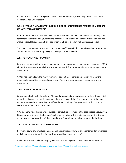If a man uses a condom during sexual intercourse with his wife, is she obligated to take Ghusal Janabat? A: Yes, undoubtedly.

# **Q. 94: IS IT TRUE THAT A CERTAIN SUNNI SCHOOL OF JURISPRUDENCE PERMITS HOMOSEXUAL ACT WITH YOUNG MEN/BOYS?**

A: Imam Abu Hanifah has said: whoever commits sodomy with his slave man or his employee and penetrates, there is no had (punishment) for him. (See Hashiyah of Sharh al‐Wiqayah by Allamah Chalapi, kitabul Hudud,, p. 212; also see Imam al‐Ghizali's al‐ Mankhul, Damascus, p. 502)

The same is the fatwa of Imam Malik. And Imam Shafi'i has said that there is no clear order in the Qur'an about it, but according to Qiyas (analogy) it is halal (lawful).

# **Q. 95: POLYGAMY AND POLYANDRY:**

If a women cannot satisfy the desires of a man he can marry once again or enter a contract of Mut 'ah. But if a man cannot satisfy his wife what can she do? Is it that men have more stronger desire than women?

A: Man has been allowed to marry four wives at one time. There is no question whether the present wife can satisfy his sexual urge or not. Therefore, your question is based on a wrong presumption.

## **Q. 96: DIVORCE UNDER PRESSURE**

Some people took me by force to an 'Alim, and pressurised me to divorce my wife; although I did not wish to divorce her, but they compelled me and I signed the divorce paper. I kept the paper for two weeks without informing my wife and then tore it up. The question is: Is that divorce valid? Is my wife divorced from me?

A: As a general rule, divorce under duress or compulsion is invalid. In the case quoted above, even if it were a valid divorce, the husband's behaviour in living with the wife and tearing the divorce paper constitutes revocation of divorce and the wife continues legally married to the husband.

# **Q. 97: IS ABORTION ALLOWED AFTER RAPE?**

If I live in a town, city or village and some unbelievers raped my wife or daughter and impregnated her is it haram to get abortion for her. How would I go about this issue?

A: The punishment in Islam for raping a woman (i.e. having sexual intercourse with a woman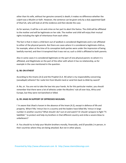other than his wife, without her genuine consent) is death; it makes no difference whether the culprit was a Muslim or Kafir. However, the sentence can be given only by a duly appointed Qadi of Shari'ah, who will look at all the evidence and then decide the case.

As for woman, it will be a sin and crime on her part to abort the foetus. The child will be affiliated to the mother and will be legitimate on her side. The mother and child will enjoy their mutual rights including the right of inheritance from each other.

The fact is that in Islam a child born out of wedlock is considered illegitimate and is not affiliated to either of the physical parents. But there are cases where it is considered a legitimate child as, for example, when at the time of its conception both parties were under the impression of being lawfully married, and then it transpired that it was not so; such a child is affiliated to both parents.

Also in some cases it is considered legitimate on the part of one physical parent, to whom it is affiliated, and illegitimate on the part of the other with whom it has no relationship, as for example in the case mentioned in the question.

## **Q. 98: ON ATHEIST**

According to the Imams (A.S) and the Prophet (S.A. W) what is my responsibility concerning (zanadiqah) atheists? Do I exile him from Muslim land or send him back to Allah by sword?

A: No, sir. You are not to take the law into your hands. As for this particular matter, you should remember that there were a lot of atheists under the Muslims' rule all over Asia, Africa and Europe, but they were not banished or killed.

## **Q. 99: JIHAD IN SUPPORT OF OPPRESSED MUSLIMS:**

I 'm aware that Jihad is haram in the absence of the Imam (A.S), except in defence of life and property. What if Mu 'minun live in a country and the leaders have killed Mu 'minun in large number in another country? What should I do? Just sit and watch? Or should I prepare to fight "Fi-Sabilillah " to protect and help my brothers in that different country and strike a severe blow to unbelievers?

A: You should try to help your Muslim brothers morally, financially, and (if possible.) in person, in their countries where they are being attacked. But not in other places.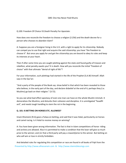#### Q90: One Has Never Paid Khums

Q.100: Freedom Of Choice VS.Death Penalty For Apostate:

How does one reconcile the freedom to choose a religion (2:256) and the death decree for a person who chooses to abandon Islam?

A: Suppose you are a foreigner living in the U.K. with a right to apply for its citizenship. Nobody can compel you to use that right and acquire the said citizenship; you have "the freedom to choose it". But once you apply for and get the citizenship you are bound to obey its rules and keep its interests at your heart.

Then if after some time you are caught plotting against the state and found guilty of treason and rebellion, what penalty awaits you? It is death. How will you reconcile the initial "freedom of choice" with that ultimate "denial of right of life"?

For your information, such plottings had started in the life of the Prophet (S.A.W) himself. Allah says in the Qur'an:

"And a party of the people of the Book say: show belief in that which has been revealed to those who believe, in the early part of the day, and declare disbelief at the end of it; perhaps they (i.e. Muslims) go back on their religion." (3:72).

So you see what bad effect apostasy of even one man can have on the whole Muslim Ummah. It demoralizes the Muslims; and disturbs their cohesion and discipline. It is unmitigated "fasadfil ard", and needs tough handling to stem the rot in the beginning.

# **Q. 101: IS BETTING ON HORSES ETC. ALLOWED?**

Imam Khomeini (R.A) gave a Fatwa on betting, and said that it was Halal, particularity on horses and camel racing. Is it Halal to receive money on winning?

A: You have been given wrong information. The fact is that in Islam competitions of horse‐ riding and archery are allowed. Also it is permitted to make a condition that the loser will give so much prize to the winner; and /or that a third party will pay a reward/prize to the winner. But betting on who will win or lose in strictly forbidden.

Presented by http://www.alhassanain.com & http://www.islamicblessings.com And detailed rules for regulating this competition or race are found in all books of Fiqh from the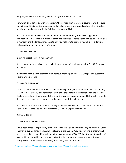early days of Islam. It is not only a fatwa on Ayatullah Khumayni (R. A).

Now what it has got to do with present days' horse racing in the western countries which is pure gambling, and is diametrically opposed to that Islamic way of racing and archery which develops martial arts, and trains youths for fighting in the way of Allah?

Based on the same principle, in modem times, archery rules may probably be applied to competition of marksmanship with fire-arms; and the rules of horse-riding may cover competition in manoeuvring the tanks, warplanes etc. But you will have to ask your mujtahid for a definite ruling on these modern systems of warfare.

# **Q. 102: PLAYING CHESS?**

Is playing chess haram? If Yes, then why?

A: It is Haram because it is declared to be Haram (by name) in a lot of ahadith. Q. 103: Octopus and Shrimp:

Is a Muslim permitted to eat meat of an octopus or shrimp or oyster. A: Octopus and oyster are Haram. Shrimp is Halal.

## **Q. 104.FISH DIED IN NET**

There is a fish in Pemba waters which remains moving throughout its life‐span. If it stops for any reason, it dies instantly. The fishermen throw or fix their nets in the water at night and take out the haul near dawn. Among other fishes they find also the above mentioned fish which is already dead. (It dies as soon as it is stopped by the net.) Is that fish lawful to eat?

A: If the said fish has scales, then, according to the late Ayatullah as‐Sayud Al‐Khoui (R. A), it is Halal (lawful to eat). See his TawzihulMasa77, 1409 A.H., Qum, Mas 'alah no.

2624, pp. 472‐73

## **Q. 105: FISH WITHOUT SCALE:**

I have been asked to explain why it is haram to consume all kind of fish having no scales including shellfish in our madhhab while Allah Ta'ala says in the Qur'an: "Say: I do not find in that which has been revealed to me anything forbidden for an eater to eat of EXCEPT that it be what has died of itself or blood poured forth, or flesh of swine ‐for that surely is unclean ‐ or that which is a transgression, other than (the name of)Allah having been invoked on it;................."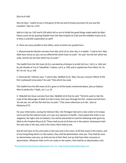(Qur'an,6:146)

Also He Says: "Lawful to you is the game of the sea and its food,a provision for you and the travellers" (Qur'an, 5:97)

Add to it Qur'an, 5:87 and 6:120 which tell us not to forbid the good things made lawful by Allah. Please assist me by quoting Ahadith from the Holy Prophet (S.A.W) and the infallible Imams (A.S). Is there a scientific explanation as well?

A: There are many ahadith to this effect, some of which are quoted here:‐

1. Muhammad ibn Muslim narrates from Abu Ja'far (A.S), inter alia, in a hadith: "I said to him: May Allah have mercy on you, we are offered fish which have no scale". He said: 'Eat the fish which has scale, and do not eat that which has no scale.'"

This hadith from the 5th Imam (A.S) is narrated by al‐Kulayni in al‐kafi (al‐Furu', Vol.2, p. 144) and by ash‐Shaykh at‐Tusi in Tahadhibu 'l‐ahkam, vol.2, p. 339; and is copied here from Wasa 'ilu 'sh‐ Shi 'ah vol. 16, p. 329.

2. Hammad ibn 'Uthman says: "I said to Abu' Abdillah (A.S): 'May I be your ransom! Which of the fish is (allowed) to be eaten? He said: 'That which has scale.

This hadith from the 6th Imam (A.S) is given in all the books mentioned above, plus as‐Saduq's Man la yahduruhu 'l‐faqih, vol. 1, p. 10

3. 'Abdullah ibn Sinan narrates from Abu 'Abdillah (A.S) that he said: "'Ali (A.S) used to ride the mule of the Messenger of Allah (S.A.W) in Kufa, then pass through the fish-market and tell them 'do not eat, nor sell the fish that has no scale.'" (The same references as in No. I plus al‐ Mahasiny.477)

For your information, during the Veitnam War, the Pentagon had sent a clear order to its troops not to eat the fish without scale, as it was very injurious to health. I had copied that order in our magazine, the Light, (Dar‐es‐Salaam), You will be interested to read the following order given by Allah to the Prophet Musa (A.S) "These shall ye eat of all that are in the waters: whatsoever hath fins and scale in the seas, and in the rivers, them shall ye eat.

And all mat have no fins and scales in the seas and in the rivers, of all that move in the waters, and of any living thing which is in the waters, they shall be abomination unto you. They shall be even an abomination unto you; ye shall not eat of their flesh, but ye shall have their carcasses in abomination. Whatever hath no fin nor scales in the waters, that shall be an abomination unto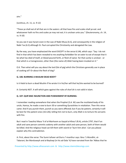you."

(Leviticus, ch. 11, vs. 9‐12)

"These ye shall eat of all that are in the waters: all that have fins and scales shall ye eat: and whatsoever hath no fins and scales ye may not eat; it is unclean unto you." (Deuteronomy, ch. 14, vs. 9‐10)

So you see it was haram even in the Law of Nabii Musa (A.S), and consequently in the religion of Nabii 'Isa (A.S) although St. Paul corrupted the Christianity and abrogated the Law.

By the way, you have emphasized the word EXCEPT in the verse 6:146, which says: "Say: I do not find in that which has been revealed to me anything forbidden for an eater to eat of except that it be what has died of itself, or blood poured forth, or flesh of swive -for that surely is unclean - or that which is a transgression, other than (the name of) Allah having been invoked on it."

O.K. Then what will you say about the lard (fat of pig) which the Christians generally use in place of cooking oil? Or about the flesh of dog?

# **Q. 106: BURNING A MUSLIM DEAD BODY?**

Is it Halal to burn a dead Muslim if he wrote it in his/her will that he/she wanted to be burned?

A: Certainly NOT. A will which goes against the rules of shari'ah is not valid in Islam.

## **Q. 107: QUR'ANIC INJUNCTION AND PUNISHMENT BY BURNING:**

I remember reading somewhere that when the Prophet (S.A. W) saw the mutilated body of his uncle, Hamza, he made a vow to burn 30 or something Quraishites in retaliation. Then this verse came: And if you punish them, punish as you were afflicted; but if you be patient, certainly it will be best for the patient ones (16:126); telling him not to burn, only Allah is to torture His servants with fire.

But I read in Tawzihul Masa 'il of al‐Marhoom as‐Sayyid al‐Khou'i (R.A), article 2797, that if an adult and sane person commits sodomy with another adult and sane person, both of them would be killed. And the religious head can kill them with sword or 'burn him alive'. Can you please explain why this contradiction.

A: First, about the verse: The Sunni tafseer ad‐Durru 'l‐manthur says: Ibnu '1‐Mundhir, at‐ Tabarani, Ibn Marduwayh and al‐Bayhaqi (in his ad‐Dala 'it) have narrated from Ibn 'Abbas that he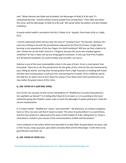said: "When Hamzah was killed and mutilated, the Messenger of Allah (S.A.W) said: 'If I vanquished Quraish, I would mutilate seventy people from among them.' Then Allah sent down this verse, and the Messenger of Allah (S.A.W) said: 'We would rather be patient, and also forbade mutilation.

A nearly similar hadith is narrated in the Shi'a Tafseer of al‐ 'Ayyashi, from Imam Ja'far as‐ Sadiq (A.S).

I cannot understand where did you hear the story of "vowing to burn" the Quraish. Anyhow, this verse has nothing to do with the punishments imposed by the Shari'ah of Islam. Forget about burning; is not amputation of the four fingers of a thief mutilation? Will you say that a hakimu'sh‐ shar' should not cut the thief's hand (i.e. 4 fingers), because this verse was revealed against mutilation? (In fact, it does not say any thing against mutilation. It only says that if the Prophet (S.A.W) desired retaliation, he could mutilate only one Kafir, not more.)

Sodomy is one of the most contemptible crimes in the eyes of Islam. Its sin is much graver than fornication. There are in all, five punishments for the guilty of this crime (in the case mentioned by you): killing by swords, burning alive, throwing down from a high mountain or building with hands and feet tied, knocking down a wall over him, and stoning him to death. (If he is killed by sword, the Qadi has an option also to burn down his corpse.) From these most harsh punishments you may realize the grave nature of this crime.

# **Q. 108: TAFSIR OF A QUR'ANIC VERSE:**

Sura 33:34: Can you give me the correct interpolation of "Wadhkurna ma yutla fi buyutikuinna min ayatillahi wa hikmah"? Is it telling Ahlu'l‐Bayt (A.S) to teach, or is it according to the Sunni authorities giving the Prophet's wives order to teach the Message? It speaks plainly but I need the correct interpretation.

A: It means neither. "Wadhkurna" means "and remember". No dictionary, no mufassir (exegete), Sunni or Shi'a, has ever said that it means to teach. The verse of purity before it is a parenthesis, and this next sentence is addressed to the wives of the Prophet (S.A.W), telling them to "keep in mind what is recited in your houses of the communications of Allah and the wisdom."

It puts emphasis to the orders which have preceded it to obey Allah, do good deeds, be pious, stay in their houses, keep up prayer, give Zakah and obey Allah and the Messenger. It tells them to be good Muslims and that's all.

## **Q. 109: TAFSIR OF VERSE 24:3.**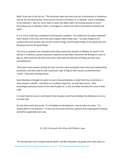Allah Ta'ala says in the Qur'an: "The fornicator does not marry any but a fornicatress or idolatress; and (as for) the fornicatress, none marries her but a fornicator or an idolater; and it is forbidden to the believers." (Qur'an, 24:3). Does it mean that Allah orders fornicating women to marry fornicating men or idolaters? Also, is marriage of a chaste man with a fornicatress unlawful and void?

A: It is not an order but a statement showing their condition. This reality has also been explained more clearly in the verse 26 of the same chapter where Allah says:‐ "Unclean things are for unclean ones and unclean ones are for unclean things; and the good things are for good ones and the good ones are for good things. "

The verse in question was revealed concerning a particular situation in Medina. As‐Suyuti in his ad-Durru 'l-manthur, quotes numerous traditions to the effect that when the Muhajirun came to Mecca, they found the life there very hard, what with the dearness of things and their own unemployment.

There were many women among the Jews and also some among the Ansar who were professional prostitutes and they used to raise a particular type of flag on their houses to advertise their "trade". They were minting money.

Some Muhajirun thought of a plan to marry those prostitutes in order that they could share in those women's wealth, "and when our condition improves, we shall leave them." They accordingly asked permission of the Holy Prophet (S. A. W), and Allah revealed this verse in their reply.

It is clear that the verse is restricted to that situation and it has forbidden the Muhajirun to carry out their plan.

On the other hand, the words, "it is forbidden to the believers', may be taken to mean, "it is undesirable for the believers." In that case the verse will have a general and unabrogated meaning and will be applicable even now.

Q. 110: In the ayat 102 of Sura 20 (TAHA), it says:

Presented by http://www.alhassanain.com & http://www.islamicblessings.com "On the day when the trumpet shall be blown, and We will gather the guilty ones, blue eyed, on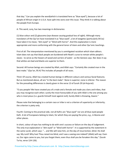that day." Can you explain the word(which is translated here as "blue eyed"), because a lot of people of African origin in U.S.A. have split into sects over this issue. They think it is talking about the people from Europe.

A: This word, zurq, has two meanings in dictionaries:

(1) blue colour and (2) glaucoma (eye disease causing gradual loss of sight). Although many translators of the Qur'an have translated it as "blue eyed", a lot of exegetes (particularly Shi'as) have taken it to mean, "dim-eyed" or "blind with horror". And this explanation is more appropriate and more conforming with the general tenor of Islam and other Qur'anic teachings.

First of all: The interpretation mentioned by you is unmitigated racialism which Islam abhors. Islam does not say that black people are burdened with Noah's curse to remain white people's slaves ‐ to serve as the hewers of wood and carriers of water ‐ as the Genesis says. Nor does it say that whites are bad and blacks are superior to them.

Second: All human beings are created by Allah; and Allah says: "Certainly We created man in the best make." (Qur'an, 95:4) This includes all people of all races.

Third: Of course, Allah has created human beings in different colours and various facial features. But as mentioned above, all are "in the best make". None is superior; none is inferior. The reason for the prevailing differences is clearly given in the verse 13 of Surah 29 (al-Hujurat):

"O you people! We have created you of a male and a female and made you clans and tribes, that you may recognise each other; surely the most honourable of you with Allah is the one among you who is most pious (i.e. guards himself most against evil); Surely Allah is Knowing, Aware."

Please note that belonging to a certain race or tribe is not a criterion of superiority or inferiority; the criterion is piety only.

Fourth: Coming to the practical side, not all Kafirs are "blue eyed" nor are all blue eyed people Kafir. A lot of Europeans belong to Islam, for which they are paying the price, e.g., in Bosnia and other places.

In short, colour of eyes has nothing to do with one's success or failure on the day of Judgement. The only true explanation is "dim‐eyed" or "blind with horror". It is supported by the statement in the same surah, which says: "... and We will raise him, on the day of resurrection, blind. He shall say: My Lord! Why hast Thou raised me blind, and I was a seeing one indeed? (Allah) will say: Even so; Our signs came to you, but you forgot them; even thus shall you be forsaken this day." (Surah Ta‐ha, verse 124‐126).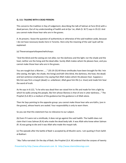# **Q. 111: TALKING WITH A DEAD PERSON:**

This concerns the tradition in Day of Judgement, describing the talk of Salman al‐Farsi (R.A) with a dead person; Out of my understanding of hadith and al‐Qur 'an, Allah (S. W.T) says in 35:22: And you cannot make those hear who are in the graves.

A: At present, I leave the question of authenticity or otherwise of the said tradition aside, because I do not have necessary books here in Toronto. Here only the meaning of the said 'ayah will be explained:

(a) Theverseisapartofaspeechwhichsays:

"And the blind and the seeing are not alike; nor the darkness and the light; nor the shade and the heat; neither are the living and the dead alike. Surely Allah makes whom He pleases hear, and you cannot make those hear who are in the graves.

You are naught but a Warner......" (35:19‐23) All these similitudes have been brought for Mu 'min (the seeing, the light, the shade, the living) and Kafir (the blind, the darkness, the heat, the dead) and last sentence emphasizes it by saying that Allah makes whom He pleases hear. Suppose a Mu'min was first a mayyit (dead) i.e. unbeliever; Allah gave him life (i.e. Iman) and made him hear the word of truth.

As He says in 6:122, "Is he who was dead then we raised him to life and made for him a light by which he walks among the people, like him whose likeness is that of one in utter darkness..." The Prophet (S.A.W) is a medium of the guidance but the guidance is of Allah alone.

Then He Says pointing to the opposite group: you cannot make those hear who are Kafirs, (are in the graves), whose hearts are sealed. Your responsibility is only to warn them.

So you see that this statement has no relevance to our subject.

(b) Even if it were not a similitude, it does not go against the said hadith. The hadith does not claim that it was Salman (R.A) who made the dead body talk. It was Allah who knew when Salman (R. A) was going to die and it was Allah who made the mayyit talk.

(c) The episode after the battle of Badr is accepted by all Muslim sects. I am quoting it from Sahih al‐Bukhari:

"Abu Talha narrated: On the day of Badr, the Prophet (S.A. W) ordered that the corpses of twenty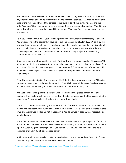four leaders of Quraish should be thrown into one of the dirty dry wells of Badr.So on the third day after the battle of Badr, he ordered that his she-camel be saddled........When he halted at the edge of the well, he addressed the corpses of the Quraishite infidels by their names and their father's names, "O so‐ and‐so, son of so‐and‐so, and O so‐and‐so, son of so‐and‐so! Would it have pleased you if you had obeyed Allah and His Messenger? We have found true what our Lord had promised us.

Have you too found true what your Lord had promised you?" 'Umar said: O Messenger of Allah! You are speaking to the bodies that have no souls! The Messenger of Allah (S. A. W) said: By Him in whose hand Muhammad's soul is, you do not hear what I say better than they do. (Qatada said: Allah brought them to life again to let them hear him, to reprimand them, and slight them and take revenge over them, and cause men to feel remorse and regret.) (al‐ Bukhari with Eng. Translation, Vol.5, pp. 209‐210)

Strangely enough, another hadith is given in Tafsir ad‐Durru 'l‐manthur, that Ibn 'Abbas says: "The Messenger of Allah (S. A. W) was standing over the dead badies of those killed on the day of Badr and saying: 'Did you find true what your Lord had promised? O so-and- so son of so-and-so, did not you disbelieve in your Lord? Did not you reject your Prophet? Did not you cut the ties of relationship?'

They (the companions) said: 'O Messenger of Allah! Do they hear what you are saying?' He said: 'You do not hear what I say better than they do.' Then Allah revealed the verse: Surely you cannot make the dead to hear and you cannot make those hear who are in the graves."

And Bukhari too, after giving the clear and well‐accepted hadith (quoted earlier) gives two traditions from 'Aisha which more or less confirm the above‐quoted hadith of Ibn 'Abbas with the same "verse". Now let us look critically at these later three ahadith:

1. The first tradition is narrated by Abu Talha. The one of ad‐Durru 'l‐manthur, is narrated by Ibn 'Abbas, and the later two of Bukhari by 'A'isha. Now Ibn 'Abbas was a small child in Mecca at that time; and 'A'isha was in Medina, not in Badr; while Abu Talha was in Badr. Whose report should be relied upon?

2. The "verse" which Ibn 'Abbas claims to have been revealed concerning this episode of Badr is a mix‐up of two sentences from 3 verses: The sentence, Surely you cannot make the dead to hear,is a part of Surah 30. (The Romans) verse 52, and Surah 27 (The Ants) verse 80; while the next sentence is found in 35:22, as described earlier.

3. All three Surahs were revealed in Mecca, long before Hijra and the Battle of Badr (2 A.H). How can it be imagined that the sentences were revealed at Badr?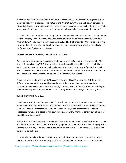4. That is why' Allamah Tabataba'i in his Tafsir Al‐Mizan, vol. 17, p.38 says: "The signs of forgery are quite clear in this tradition. The status of the Prophet (S.A.W) is too high to say something without getting its knowledge from Allah beforehand. How could he say such a thing which made it necessary for Allah to reveal a verse to refute his claim and give him correct information."

The fact is that such traditions were forged in the name of well-known companions, to implement the Umayyads agenda. They have filled the books with such traditions showing that the Holy Prophet (S.A.W) indulged in meaningless actions, (God Forbid); that often 'Umar tried to put him right and that whenever such things happened, Allah sent down verses, which invariably always confirmed 'Umar's views and opinions.

# **112: ON THE BOOK "HUSAIN, THE SAVIOUR OF ISLAM":**

Please give me your opinion concerning the book, Husain the Saviour of Islam, written by Mir Ahmad Ali, published by T.T.Q. I seem to have found several historical inaccuracies in it Also he hardly cites any sources. It seems to have been written in a Zakiri style, not factual, historical. When I realized that this is the same author who penned the commentary and translation ofQur 'an, I began to doubt its correctness as well. Should I rely on his Tafseer?.

A: Your comments about the book, "Husain the Saviour of Islam" are correct. But there is a difference between this book and his Translation of the Qur'an. The Translation and the Commentary were checked by late 'Allamah Agha Pooya, who had himself added many things in the Commentary which appear with his initials (A.P.) therein. Therefore, we may really on it.

# **Q. 113: ON TAFSIR‐AL‐MIZAN**

I read your translation and notes of "Al‐Mizan" volume VII about Surah Al‐Nisa, verse 1. I was under the impression that Al‐Mizan was the best tafseer available. What is your opinion? What is the best tafseer in Arabic that you know of? Approximately what percentage of 'Allamah Tabatabai's views as expressed in Al‐Mizan do you agree with? Are there other views of his that I should be cautious about?

A: First of all, it should be clearly stated here that we do not believe that any book written by any non‐Ma'sum can be 100% free of errors or misjudgements. The question is only of the proportion. Keeping this in mind, Tafsir Al‐Mizan is fine, although at a few places his ideas are influenced by his inclination to Sufism.

For example, he believed that Mi'rajs journey was physical upto and from there it was only a spiritual ascension. But for the most part Allamah Tabatabai's commentary is correct and few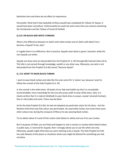blemishes here and there do not affect its importance.

Personally I think that if late Ayatullah al‐Khoui would have completed his Tafseer Al‐ Bayan, it would have been marvellous. Unfortunately he could not write more than one volume containing the Introduction and the Tafseer of Surah Al‐Fatihah.

# **Q.114: ON BLACK AND WHITE TURBANS:**

What is the difference between an Aalim with white turban and an Aalim with black? Can I become a Sayyid? If not, why?

A: Legally there is no difference. But in practice, Sayyids wear black or green 'amamah, while the non‐Sayyids use white.

Sayyids are those who are descended from the Prophet (S. A. W) through Bibi Fatimah Zahra (A.S). This title is not earned through knowledge, wealth or any other way. Obviously, one who is not descended from the Prophet (S.A.W) cannot "become Sayyid".

# **Q. 115: WANT TO WEAR BLACK TURBAN**

I want to wear black turban and robe like the ones some Shi 'a 'ulama' use, because I want to follow the sunnah of the Holy Prophet (S.A. W)

A: the sunnah is the white dress. All books of our fiqh and hadith say that it is mustahabb (commendable; more rewarding) for the one who prays salah to wear white dress. Also, it is clearly written that it is makruh (disliked) to wear black dress in prayer, except 'amamah (turban), Kisa or rida (robe) and socks. These may be black.

As for the Holy Prophet (S.A.W), he had not adopted any particular colour for his dress ‐ lest the Muslims think that only that colour was permissible. He used white turban, but some times wore other colours too; during the conquest of Mecca he was wearing black turban.

Try to obtain about 4.5 yard of thin cotton cloth (black or white) and use it for your turban.

But if, by grace of Allah, you are freed and happen to visit a country or society where black turban, in public eyes, is reserved for Sayyids, then I strongly advise you to use the white one only. Otherwise, people might think that you were claiming to be a Sayyid. The Holy Prophet (S.A.W) has said: Beware of the places or situations where you might be blamed for something you had not done.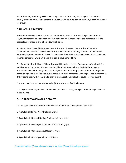As for the robe, somebody will have to bring it for you from Iran, Iraq or Syria. The colour is usually brown or black. The ones sold in Saudia Arabia have golden embroidery, which is not good for prayer.

#### **Q.116: ABOUT BLACK SHOES:**

How does one reconcile the narratives attributed to Imam Ja'far Sadiq (A.S) in Section 11 of Hilyatul Muttaqeen one of which says "Do not wear black shoes "while the other says that the best colour of shoes in one s home town is black. ?

A: I do not have Hilyatul Muttaqeen here in Toronto. However, the wording of the latter statement indicates that the talk was addressed to someone residing in a town dominated by extremely bigoted enemies of the Shi'as who could have known by avoidance of black shoes that the man concerned was a Shi'a and thus could have harmed him.

The Karahat (being disliked) of black shoes and black dress (except 'amamah, rida' and socks) is well-known and accepted. Even so, we should not put too much emphasis in these days on mustahab and makruh things, because new generation does not pay due attention to wajib and haram things. We should endeavour to make them truly concerned with wajibat and muharramat. If they come back within that circle, then mustahabbat and makruhat could easily be taught.

There is a hadith from Imam Ja'far Sadiq (A.S) at the end of which he says:

"Make your heart bright and wear whatever you want." This gives a gist of the principle involved in this matter.

## **Q. 117: ABOUT SOME MARAJI'‐E‐TAQLEED**

Can you give me the address to where I can contact the following Maraji 'ut‐Taqlid?

- 1. Ayatullah al‐Haj Aqa Nasir Makarim Shirazi
- 2. Ayatullah al‐ 'Uzma al‐Haj Aqa Shahabuddin Mar 'ashi
- 3. Ayatullah al‐ 'Uzma Syed Muhammad Raza Gulpayegani
- 4. Ayatullah al‐ 'Uzma SyedAbul Qasim al‐Khoui
- 5. Ayatullah al‐ 'Uzma Syed Ali Husaini Sistani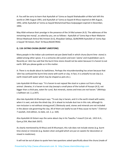A: You will be sorry to learn that Ayatullah al‐'Uzma as‐Sayyid Shahabuddin al‐Mar'ashi left this world on 29th August 1991; and Ayatullah al‐'Uzma as‐Sayyid Al‐Khoui expired on 8th August, 1992, while Ayatullah al‐'Uzma as‐Sayyid Muhammad Raza Gulpayegani expired in December, 1993.

May Allah enhance their prestige in the presence of the 14 Ma'sumeen (A.S). The addresses of the remaining two maraji', as asked by you, are as follows:- Ayatullah al-'Uzma Aqa-e-Nasir Makarim Shirazi Madrasah Amirul Mu'mineen (A.S), Khayaban Safaiya, QUM/IRAN Ayatullah al‐'Uzma Aqa‐ e‐Sayyid 'Ali Sistani, Shari' Al‐Rasul,NAJAF/IRAQ

## **Q. 118: EATING CHUNA (BURNT LIMESTONE)**

Many people in the Indian sub‐continent eat pan (betel leaf) in which chuna (burnt lime‐ stone) is added among other spices. It is a centuries old custom and even 'ulama' and mujtahideen use it. Recently an 'alim has said that the burnt lime‐stone should not be eaten because it is haram to eat earth. Will you please guide us in this matter.

A: There is no doubt about its lawfulness. Perhaps the misunderstanding has arisen because that 'alim has confused the burnt lime‐stone with earth or clay. In fact, it is unlawful to eat clay (i.e. earth mixed with water which may be shaped as pots etc.).

Late Ayatullah Al‐Khoui says: "It is haram to eat najasat like stool or a piece cut from a living animal. Likewise, it is haram to eat clay (except a small piece of the turbah of Husayn (A.S), not bigger than a chick‐pea, eaten for cure). But minerals, stones and trees are not haram." (Minhaju s‐Saliheen vol. 2, p.347).

Also late Ayatullah Al‐Khumayni says: "To eat clay is haram, and it is the earth mixed with water, when it is wet, and also the dried clay. (It is ahwat to include dust too in this rule, although its non‐inclusion is not without strong proof.) Obviously sand, stones and minerals are not included in the above rule governing the clay. All of them are lawful to eat if they cause no harm." (Tahrirul 7‐wasilah, 2nd edition, no date, vol. 2, p. 164).

Also Ayatullah Al‐Sistani says the same about clay in his Tawzihu 'l‐masa'il (1st ed., 1413 A.H., Qum,p.554, Mas'alah 2637).

As clearly mentioned by Al‐Khoui and Al‐Khumayni, this rule does not include stones (e.g. burnt lime‐stone) or minerals (e.g. beaten silver and gold which are put on sweets for decoration or mixed in medicines).

It will not be out of place to quote here two questions asked specifically about the chuna (made of